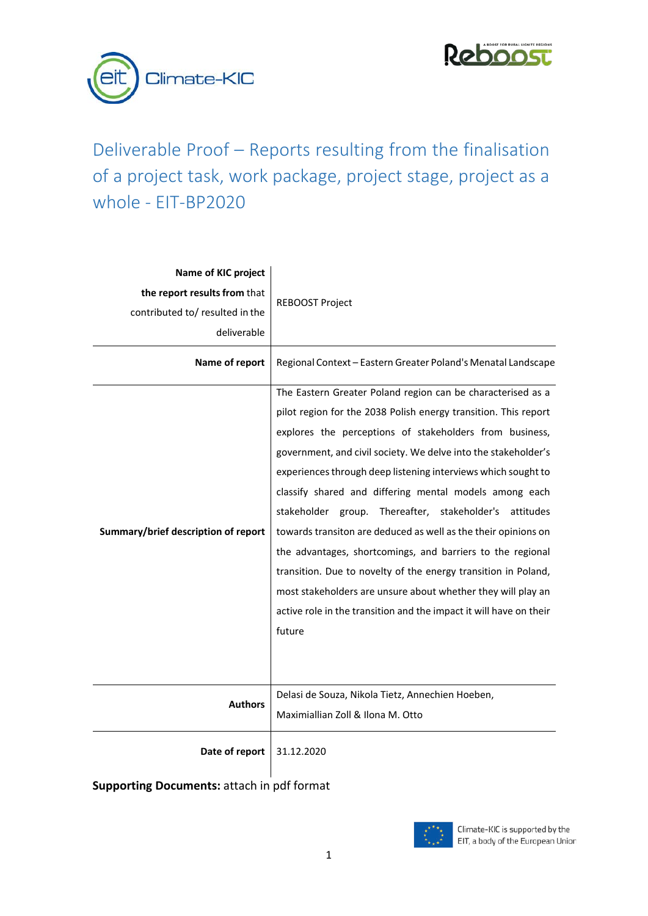



# Deliverable Proof – Reports resulting from the finalisation of a project task, work package, project stage, project as a whole - EIT-BP2020

| Name of KIC project                                             |                                                                                                                                                                                                                                                                                                                                                                                                                                                                                                                                                                                                                                                                                                                                                                                                    |  |
|-----------------------------------------------------------------|----------------------------------------------------------------------------------------------------------------------------------------------------------------------------------------------------------------------------------------------------------------------------------------------------------------------------------------------------------------------------------------------------------------------------------------------------------------------------------------------------------------------------------------------------------------------------------------------------------------------------------------------------------------------------------------------------------------------------------------------------------------------------------------------------|--|
| the report results from that<br>contributed to/ resulted in the | <b>REBOOST Project</b>                                                                                                                                                                                                                                                                                                                                                                                                                                                                                                                                                                                                                                                                                                                                                                             |  |
|                                                                 |                                                                                                                                                                                                                                                                                                                                                                                                                                                                                                                                                                                                                                                                                                                                                                                                    |  |
| deliverable                                                     |                                                                                                                                                                                                                                                                                                                                                                                                                                                                                                                                                                                                                                                                                                                                                                                                    |  |
| Name of report                                                  | Regional Context - Eastern Greater Poland's Menatal Landscape                                                                                                                                                                                                                                                                                                                                                                                                                                                                                                                                                                                                                                                                                                                                      |  |
| Summary/brief description of report                             | The Eastern Greater Poland region can be characterised as a<br>pilot region for the 2038 Polish energy transition. This report<br>explores the perceptions of stakeholders from business,<br>government, and civil society. We delve into the stakeholder's<br>experiences through deep listening interviews which sought to<br>classify shared and differing mental models among each<br>stakeholder group. Thereafter, stakeholder's attitudes<br>towards transiton are deduced as well as the their opinions on<br>the advantages, shortcomings, and barriers to the regional<br>transition. Due to novelty of the energy transition in Poland,<br>most stakeholders are unsure about whether they will play an<br>active role in the transition and the impact it will have on their<br>future |  |
| <b>Authors</b>                                                  | Delasi de Souza, Nikola Tietz, Annechien Hoeben,<br>Maximiallian Zoll & Ilona M. Otto                                                                                                                                                                                                                                                                                                                                                                                                                                                                                                                                                                                                                                                                                                              |  |
| Date of report                                                  | 31.12.2020                                                                                                                                                                                                                                                                                                                                                                                                                                                                                                                                                                                                                                                                                                                                                                                         |  |

**Supporting Documents:** attach in pdf format

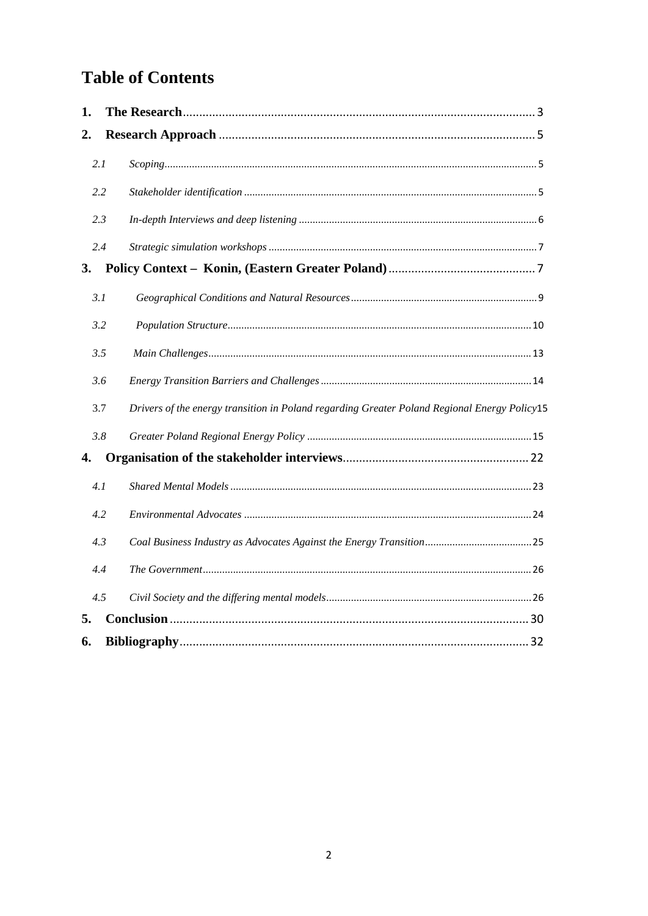# **Table of Contents**

| 1. |     |                                                                                              |  |
|----|-----|----------------------------------------------------------------------------------------------|--|
| 2. |     |                                                                                              |  |
|    | 2.1 |                                                                                              |  |
|    | 2.2 |                                                                                              |  |
|    | 2.3 |                                                                                              |  |
|    | 2.4 |                                                                                              |  |
| 3. |     |                                                                                              |  |
|    | 3.1 |                                                                                              |  |
|    | 3.2 |                                                                                              |  |
|    | 3.5 |                                                                                              |  |
|    | 3.6 |                                                                                              |  |
|    | 3.7 | Drivers of the energy transition in Poland regarding Greater Poland Regional Energy Policy15 |  |
|    | 3.8 |                                                                                              |  |
| 4. |     |                                                                                              |  |
|    | 4.1 |                                                                                              |  |
|    | 4.2 |                                                                                              |  |
|    | 4.3 |                                                                                              |  |
|    | 4.4 |                                                                                              |  |
|    | 4.5 |                                                                                              |  |
| 5. |     |                                                                                              |  |
| 6. |     |                                                                                              |  |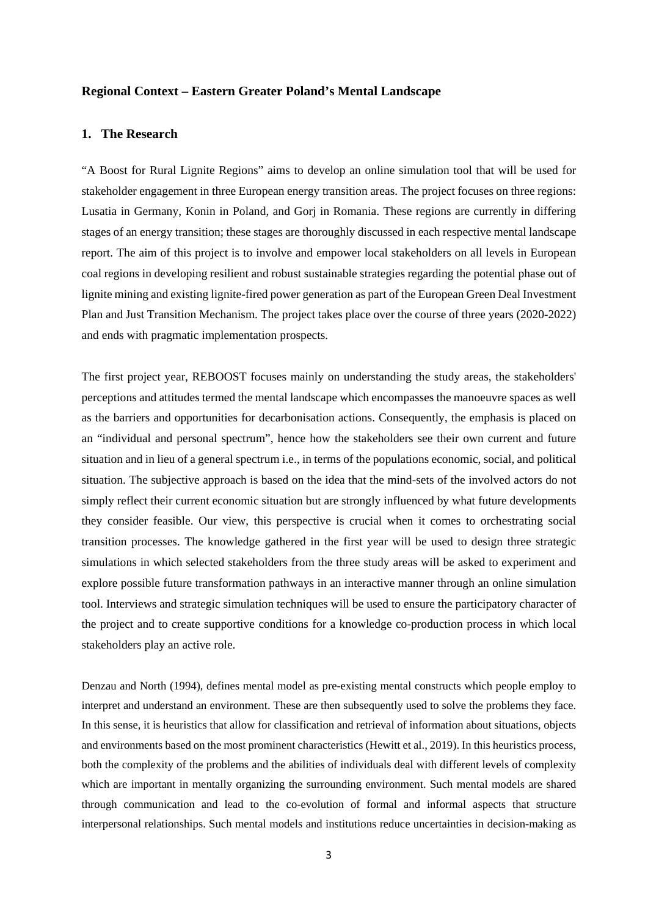#### **Regional Context – Eastern Greater Poland's Mental Landscape**

#### <span id="page-2-0"></span>**1. The Research**

"A Boost for Rural Lignite Regions" aims to develop an online simulation tool that will be used for stakeholder engagement in three European energy transition areas. The project focuses on three regions: Lusatia in Germany, Konin in Poland, and Gorj in Romania. These regions are currently in differing stages of an energy transition; these stages are thoroughly discussed in each respective mental landscape report. The aim of this project is to involve and empower local stakeholders on all levels in European coal regions in developing resilient and robust sustainable strategies regarding the potential phase out of lignite mining and existing lignite-fired power generation as part of the European Green Deal Investment Plan and Just Transition Mechanism. The project takes place over the course of three years (2020-2022) and ends with pragmatic implementation prospects.

The first project year, REBOOST focuses mainly on understanding the study areas, the stakeholders' perceptions and attitudes termed the mental landscape which encompasses the manoeuvre spaces as well as the barriers and opportunities for decarbonisation actions. Consequently, the emphasis is placed on an "individual and personal spectrum", hence how the stakeholders see their own current and future situation and in lieu of a general spectrum i.e., in terms of the populations economic, social, and political situation. The subjective approach is based on the idea that the mind-sets of the involved actors do not simply reflect their current economic situation but are strongly influenced by what future developments they consider feasible. Our view, this perspective is crucial when it comes to orchestrating social transition processes. The knowledge gathered in the first year will be used to design three strategic simulations in which selected stakeholders from the three study areas will be asked to experiment and explore possible future transformation pathways in an interactive manner through an online simulation tool. Interviews and strategic simulation techniques will be used to ensure the participatory character of the project and to create supportive conditions for a knowledge co-production process in which local stakeholders play an active role.

Denzau and North (1994), defines mental model as pre-existing mental constructs which people employ to interpret and understand an environment. These are then subsequently used to solve the problems they face. In this sense, it is heuristics that allow for classification and retrieval of information about situations, objects and environments based on the most prominent characteristics (Hewitt et al., 2019). In this heuristics process, both the complexity of the problems and the abilities of individuals deal with different levels of complexity which are important in mentally organizing the surrounding environment. Such mental models are shared through communication and lead to the co-evolution of formal and informal aspects that structure interpersonal relationships. Such mental models and institutions reduce uncertainties in decision-making as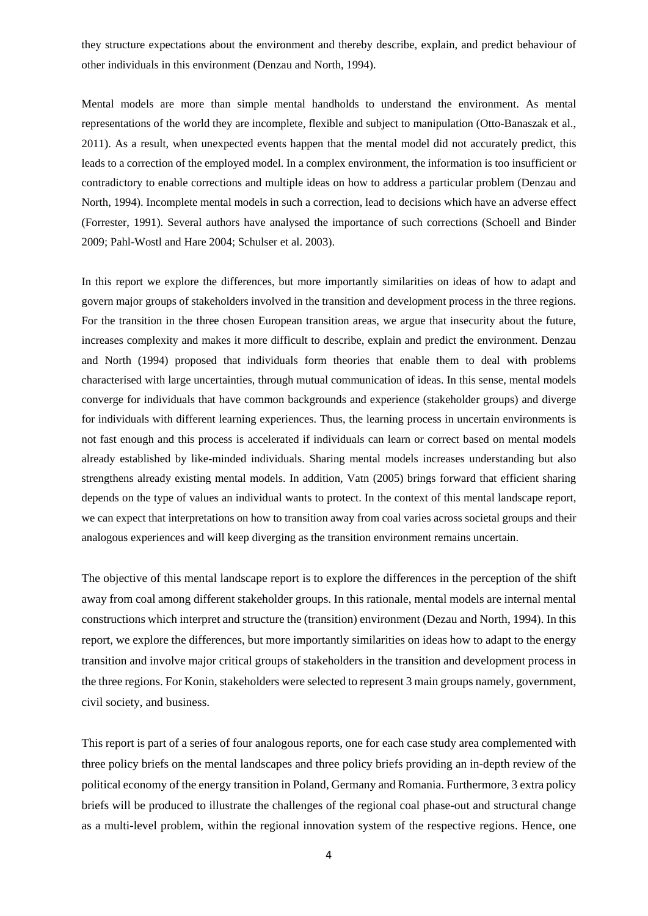they structure expectations about the environment and thereby describe, explain, and predict behaviour of other individuals in this environment (Denzau and North, 1994).

Mental models are more than simple mental handholds to understand the environment. As mental representations of the world they are incomplete, flexible and subject to manipulation (Otto-Banaszak et al., 2011). As a result, when unexpected events happen that the mental model did not accurately predict, this leads to a correction of the employed model. In a complex environment, the information is too insufficient or contradictory to enable corrections and multiple ideas on how to address a particular problem (Denzau and North, 1994). Incomplete mental models in such a correction, lead to decisions which have an adverse effect (Forrester, 1991). Several authors have analysed the importance of such corrections (Schoell and Binder 2009; Pahl-Wostl and Hare 2004; Schulser et al. 2003).

In this report we explore the differences, but more importantly similarities on ideas of how to adapt and govern major groups of stakeholders involved in the transition and development process in the three regions. For the transition in the three chosen European transition areas, we argue that insecurity about the future, increases complexity and makes it more difficult to describe, explain and predict the environment. Denzau and North (1994) proposed that individuals form theories that enable them to deal with problems characterised with large uncertainties, through mutual communication of ideas. In this sense, mental models converge for individuals that have common backgrounds and experience (stakeholder groups) and diverge for individuals with different learning experiences. Thus, the learning process in uncertain environments is not fast enough and this process is accelerated if individuals can learn or correct based on mental models already established by like-minded individuals. Sharing mental models increases understanding but also strengthens already existing mental models. In addition, Vatn (2005) brings forward that efficient sharing depends on the type of values an individual wants to protect. In the context of this mental landscape report, we can expect that interpretations on how to transition away from coal varies across societal groups and their analogous experiences and will keep diverging as the transition environment remains uncertain.

The objective of this mental landscape report is to explore the differences in the perception of the shift away from coal among different stakeholder groups. In this rationale, mental models are internal mental constructions which interpret and structure the (transition) environment (Dezau and North, 1994). In this report, we explore the differences, but more importantly similarities on ideas how to adapt to the energy transition and involve major critical groups of stakeholders in the transition and development process in the three regions. For Konin, stakeholders were selected to represent 3 main groups namely, government, civil society, and business.

This report is part of a series of four analogous reports, one for each case study area complemented with three policy briefs on the mental landscapes and three policy briefs providing an in-depth review of the political economy of the energy transition in Poland, Germany and Romania. Furthermore, 3 extra policy briefs will be produced to illustrate the challenges of the regional coal phase-out and structural change as a multi-level problem, within the regional innovation system of the respective regions. Hence, one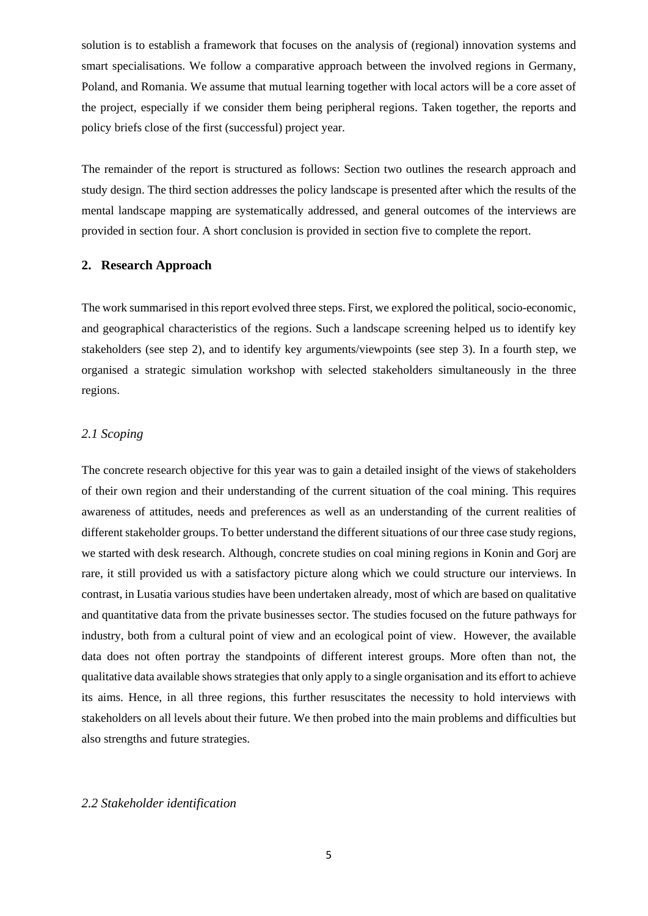solution is to establish a framework that focuses on the analysis of (regional) innovation systems and smart specialisations. We follow a comparative approach between the involved regions in Germany, Poland, and Romania. We assume that mutual learning together with local actors will be a core asset of the project, especially if we consider them being peripheral regions. Taken together, the reports and policy briefs close of the first (successful) project year.

The remainder of the report is structured as follows: Section two outlines the research approach and study design. The third section addresses the policy landscape is presented after which the results of the mental landscape mapping are systematically addressed, and general outcomes of the interviews are provided in section four. A short conclusion is provided in section five to complete the report.

#### <span id="page-4-0"></span>**2. Research Approach**

The work summarised in this report evolved three steps. First, we explored the political, socio-economic, and geographical characteristics of the regions. Such a landscape screening helped us to identify key stakeholders (see step 2), and to identify key arguments/viewpoints (see step 3). In a fourth step, we organised a strategic simulation workshop with selected stakeholders simultaneously in the three regions.

### <span id="page-4-1"></span>*2.1 Scoping*

The concrete research objective for this year was to gain a detailed insight of the views of stakeholders of their own region and their understanding of the current situation of the coal mining. This requires awareness of attitudes, needs and preferences as well as an understanding of the current realities of different stakeholder groups. To better understand the different situations of our three case study regions, we started with desk research. Although, concrete studies on coal mining regions in Konin and Gorj are rare, it still provided us with a satisfactory picture along which we could structure our interviews. In contrast, in Lusatia various studies have been undertaken already, most of which are based on qualitative and quantitative data from the private businesses sector. The studies focused on the future pathways for industry, both from a cultural point of view and an ecological point of view. However, the available data does not often portray the standpoints of different interest groups. More often than not, the qualitative data available showsstrategies that only apply to a single organisation and its effort to achieve its aims. Hence, in all three regions, this further resuscitates the necessity to hold interviews with stakeholders on all levels about their future. We then probed into the main problems and difficulties but also strengths and future strategies.

#### <span id="page-4-2"></span>*2.2 Stakeholder identification*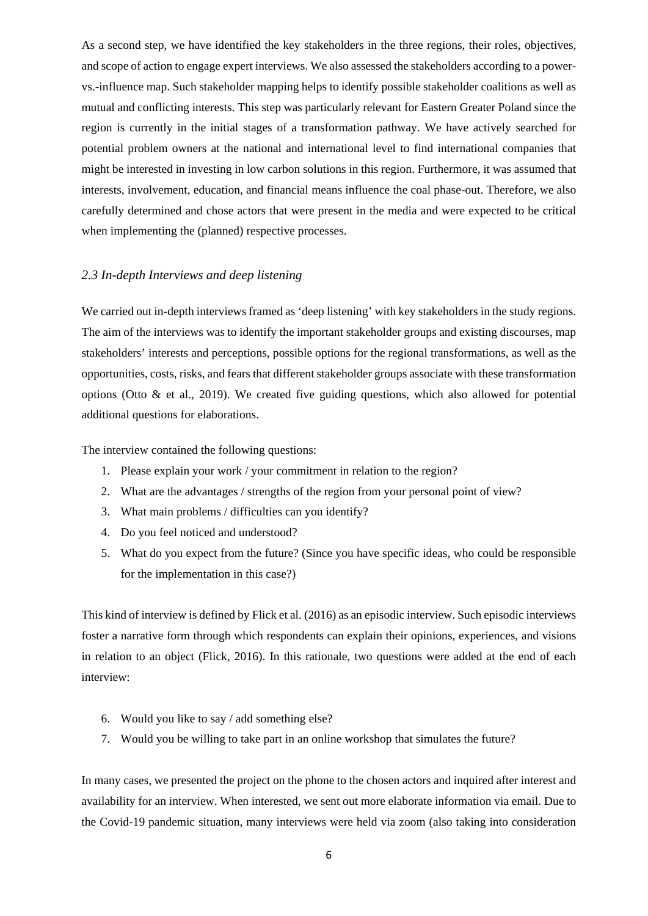As a second step, we have identified the key stakeholders in the three regions, their roles, objectives, and scope of action to engage expert interviews. We also assessed the stakeholders according to a powervs.-influence map. Such stakeholder mapping helps to identify possible stakeholder coalitions as well as mutual and conflicting interests. This step was particularly relevant for Eastern Greater Poland since the region is currently in the initial stages of a transformation pathway. We have actively searched for potential problem owners at the national and international level to find international companies that might be interested in investing in low carbon solutions in this region. Furthermore, it was assumed that interests, involvement, education, and financial means influence the coal phase-out. Therefore, we also carefully determined and chose actors that were present in the media and were expected to be critical when implementing the (planned) respective processes.

### <span id="page-5-0"></span>*2.3 In-depth Interviews and deep listening*

We carried out in-depth interviews framed as 'deep listening' with key stakeholders in the study regions. The aim of the interviews was to identify the important stakeholder groups and existing discourses, map stakeholders' interests and perceptions, possible options for the regional transformations, as well as the opportunities, costs, risks, and fears that different stakeholder groups associate with these transformation options (Otto  $\&$  et al., 2019). We created five guiding questions, which also allowed for potential additional questions for elaborations.

The interview contained the following questions:

- 1. Please explain your work / your commitment in relation to the region?
- 2. What are the advantages / strengths of the region from your personal point of view?
- 3. What main problems / difficulties can you identify?
- 4. Do you feel noticed and understood?
- 5. What do you expect from the future? (Since you have specific ideas, who could be responsible for the implementation in this case?)

This kind of interview is defined by Flick et al. (2016) as an episodic interview. Such episodic interviews foster a narrative form through which respondents can explain their opinions, experiences, and visions in relation to an object (Flick, 2016). In this rationale, two questions were added at the end of each interview:

- 6. Would you like to say / add something else?
- 7. Would you be willing to take part in an online workshop that simulates the future?

In many cases, we presented the project on the phone to the chosen actors and inquired after interest and availability for an interview. When interested, we sent out more elaborate information via email. Due to the Covid-19 pandemic situation, many interviews were held via zoom (also taking into consideration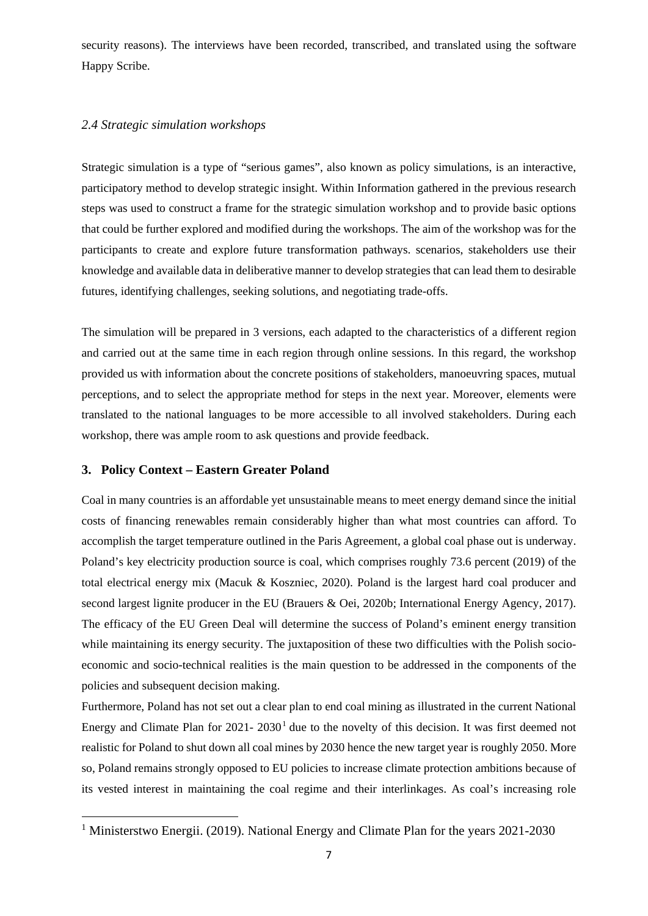security reasons). The interviews have been recorded, transcribed, and translated using the software Happy Scribe.

### <span id="page-6-0"></span>*2.4 Strategic simulation workshops*

Strategic simulation is a type of "serious games", also known as policy simulations, is an interactive, participatory method to develop strategic insight. Within Information gathered in the previous research steps was used to construct a frame for the strategic simulation workshop and to provide basic options that could be further explored and modified during the workshops. The aim of the workshop was for the participants to create and explore future transformation pathways. scenarios, stakeholders use their knowledge and available data in deliberative manner to develop strategies that can lead them to desirable futures, identifying challenges, seeking solutions, and negotiating trade-offs.

The simulation will be prepared in 3 versions, each adapted to the characteristics of a different region and carried out at the same time in each region through online sessions. In this regard, the workshop provided us with information about the concrete positions of stakeholders, manoeuvring spaces, mutual perceptions, and to select the appropriate method for steps in the next year. Moreover, elements were translated to the national languages to be more accessible to all involved stakeholders. During each workshop, there was ample room to ask questions and provide feedback.

#### <span id="page-6-1"></span>**3. Policy Context – Eastern Greater Poland**

 $\overline{a}$ 

Coal in many countries is an affordable yet unsustainable means to meet energy demand since the initial costs of financing renewables remain considerably higher than what most countries can afford. To accomplish the target temperature outlined in the Paris Agreement, a global coal phase out is underway. Poland's key electricity production source is coal, which comprises roughly 73.6 percent (2019) of the total electrical energy mix (Macuk & Koszniec, 2020). Poland is the largest hard coal producer and second largest lignite producer in the EU (Brauers & Oei, 2020b; International Energy Agency, 2017). The efficacy of the EU Green Deal will determine the success of Poland's eminent energy transition while maintaining its energy security. The juxtaposition of these two difficulties with the Polish socioeconomic and socio-technical realities is the main question to be addressed in the components of the policies and subsequent decision making.

Furthermore, Poland has not set out a clear plan to end coal mining as illustrated in the current National Energy and Climate Plan for  $2021 - 2030<sup>1</sup>$  $2021 - 2030<sup>1</sup>$  $2021 - 2030<sup>1</sup>$  due to the novelty of this decision. It was first deemed not realistic for Poland to shut down all coal mines by 2030 hence the new target year is roughly 2050. More so, Poland remains strongly opposed to EU policies to increase climate protection ambitions because of its vested interest in maintaining the coal regime and their interlinkages. As coal's increasing role

<span id="page-6-2"></span><sup>&</sup>lt;sup>1</sup> Ministerstwo Energii. (2019). National Energy and Climate Plan for the years 2021-2030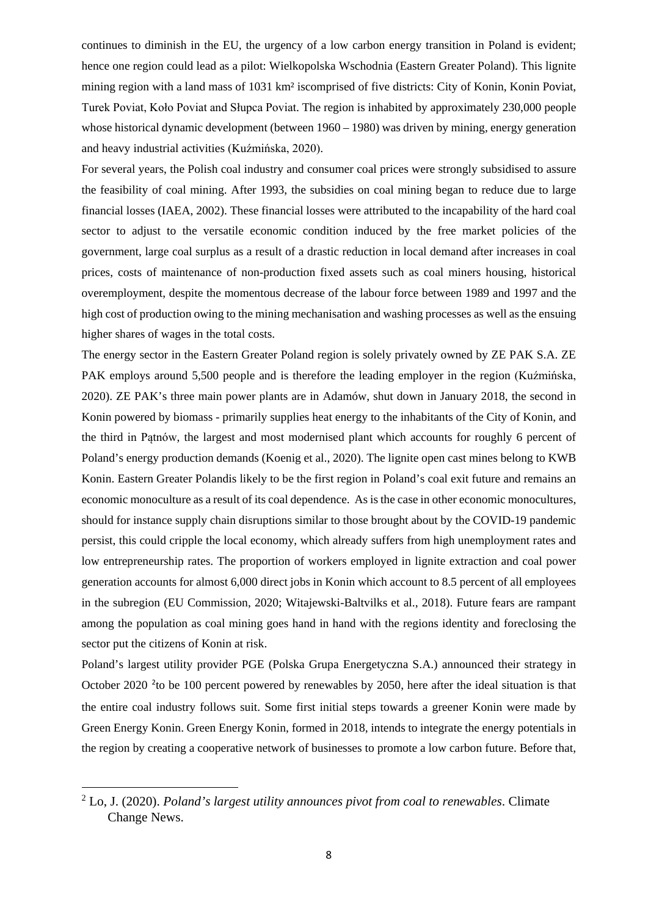continues to diminish in the EU, the urgency of a low carbon energy transition in Poland is evident; hence one region could lead as a pilot: Wielkopolska Wschodnia (Eastern Greater Poland). This lignite mining region with a land mass of 1031 km² iscomprised of five districts: City of Konin, Konin Poviat, Turek Poviat, Koło Poviat and Słupca Poviat. The region is inhabited by approximately 230,000 people whose historical dynamic development (between 1960 – 1980) was driven by mining, energy generation and heavy industrial activities (Kuźmińska, 2020).

For several years, the Polish coal industry and consumer coal prices were strongly subsidised to assure the feasibility of coal mining. After 1993, the subsidies on coal mining began to reduce due to large financial losses (IAEA, 2002). These financial losses were attributed to the incapability of the hard coal sector to adjust to the versatile economic condition induced by the free market policies of the government, large coal surplus as a result of a drastic reduction in local demand after increases in coal prices, costs of maintenance of non-production fixed assets such as coal miners housing, historical overemployment, despite the momentous decrease of the labour force between 1989 and 1997 and the high cost of production owing to the mining mechanisation and washing processes as well as the ensuing higher shares of wages in the total costs.

The energy sector in the Eastern Greater Poland region is solely privately owned by ZE PAK S.A. ZE PAK employs around 5,500 people and is therefore the leading employer in the region (Kuźmińska, 2020). ZE PAK's three main power plants are in Adamów, shut down in January 2018, the second in Konin powered by biomass - primarily supplies heat energy to the inhabitants of the City of Konin, and the third in Pątnów, the largest and most modernised plant which accounts for roughly 6 percent of Poland's energy production demands (Koenig et al., 2020). The lignite open cast mines belong to KWB Konin. Eastern Greater Polandis likely to be the first region in Poland's coal exit future and remains an economic monoculture as a result of its coal dependence. As is the case in other economic monocultures, should for instance supply chain disruptions similar to those brought about by the COVID-19 pandemic persist, this could cripple the local economy, which already suffers from high unemployment rates and low entrepreneurship rates. The proportion of workers employed in lignite extraction and coal power generation accounts for almost 6,000 direct jobs in Konin which account to 8.5 percent of all employees in the subregion (EU Commission, 2020; Witajewski-Baltvilks et al., 2018). Future fears are rampant among the population as coal mining goes hand in hand with the regions identity and foreclosing the sector put the citizens of Konin at risk.

Poland's largest utility provider PGE (Polska Grupa Energetyczna S.A.) announced their strategy in October [2](#page-7-0)020<sup>2</sup> to be 100 percent powered by renewables by 2050, here after the ideal situation is that the entire coal industry follows suit. Some first initial steps towards a greener Konin were made by Green Energy Konin. Green Energy Konin, formed in 2018, intends to integrate the energy potentials in the region by creating a cooperative network of businesses to promote a low carbon future. Before that,

 $\overline{a}$ 

<span id="page-7-0"></span><sup>2</sup> Lo, J. (2020). *Poland's largest utility announces pivot from coal to renewables*. Climate Change News.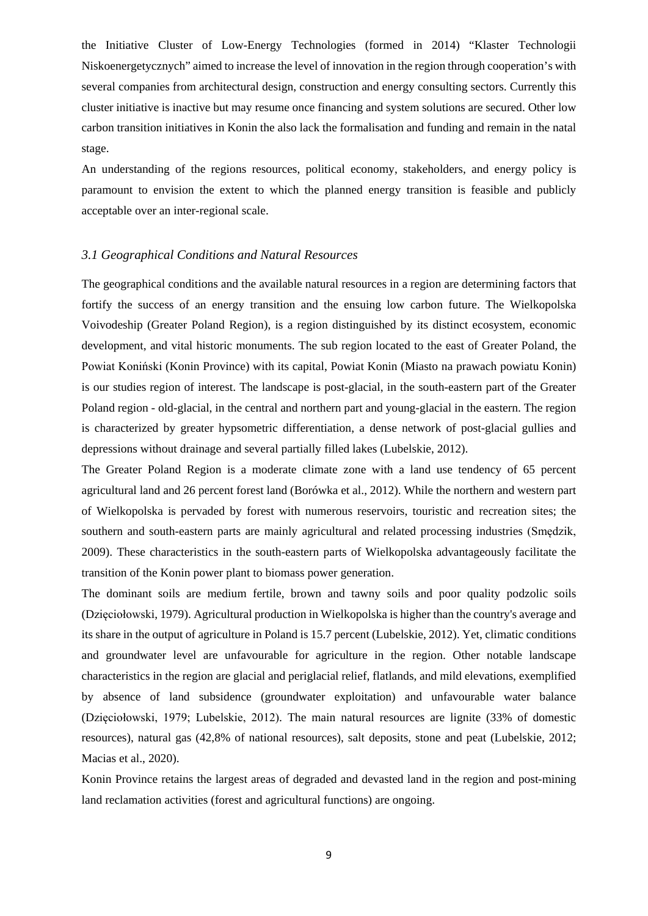the Initiative Cluster of Low-Energy Technologies (formed in 2014) "Klaster Technologii Niskoenergetycznych" aimed to increase the level of innovation in the region through cooperation's with several companies from architectural design, construction and energy consulting sectors. Currently this cluster initiative is inactive but may resume once financing and system solutions are secured. Other low carbon transition initiatives in Konin the also lack the formalisation and funding and remain in the natal stage.

An understanding of the regions resources, political economy, stakeholders, and energy policy is paramount to envision the extent to which the planned energy transition is feasible and publicly acceptable over an inter-regional scale.

#### <span id="page-8-0"></span>*3.1 Geographical Conditions and Natural Resources*

The geographical conditions and the available natural resources in a region are determining factors that fortify the success of an energy transition and the ensuing low carbon future. The Wielkopolska Voivodeship (Greater Poland Region), is a region distinguished by its distinct ecosystem, economic development, and vital historic monuments. The sub region located to the east of Greater Poland, the Powiat Koniński (Konin Province) with its capital, Powiat Konin (Miasto na prawach powiatu Konin) is our studies region of interest. The landscape is post-glacial, in the south-eastern part of the Greater Poland region - old-glacial, in the central and northern part and young-glacial in the eastern. The region is characterized by greater hypsometric differentiation, a dense network of post-glacial gullies and depressions without drainage and several partially filled lakes (Lubelskie, 2012).

The Greater Poland Region is a moderate climate zone with a land use tendency of 65 percent agricultural land and 26 percent forest land (Borówka et al., 2012). While the northern and western part of Wielkopolska is pervaded by forest with numerous reservoirs, touristic and recreation sites; the southern and south-eastern parts are mainly agricultural and related processing industries (Smędzik, 2009). These characteristics in the south-eastern parts of Wielkopolska advantageously facilitate the transition of the Konin power plant to biomass power generation.

The dominant soils are medium fertile, brown and tawny soils and poor quality podzolic soils (Dzięciołowski, 1979). Agricultural production in Wielkopolska is higher than the country's average and its share in the output of agriculture in Poland is 15.7 percent (Lubelskie, 2012). Yet, climatic conditions and groundwater level are unfavourable for agriculture in the region. Other notable landscape characteristics in the region are glacial and periglacial relief, flatlands, and mild elevations, exemplified by absence of land subsidence (groundwater exploitation) and unfavourable water balance (Dzięciołowski, 1979; Lubelskie, 2012). The main natural resources are lignite (33% of domestic resources), natural gas (42,8% of national resources), salt deposits, stone and peat (Lubelskie, 2012; Macias et al., 2020).

Konin Province retains the largest areas of degraded and devasted land in the region and post-mining land reclamation activities (forest and agricultural functions) are ongoing.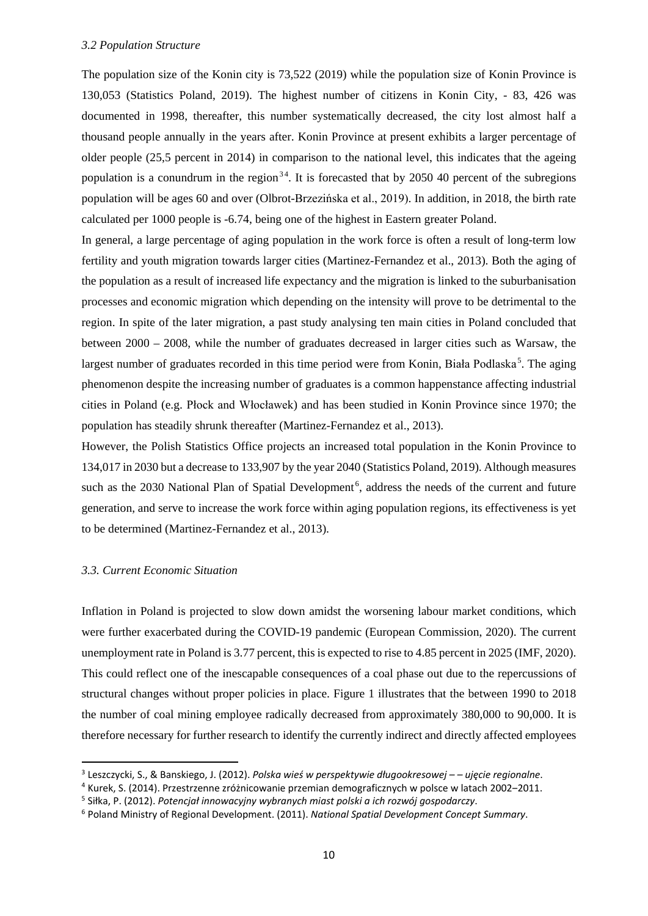<span id="page-9-0"></span>The population size of the Konin city is 73,522 (2019) while the population size of Konin Province is 130,053 (Statistics Poland, 2019). The highest number of citizens in Konin City, - 83, 426 was documented in 1998, thereafter, this number systematically decreased, the city lost almost half a thousand people annually in the years after. Konin Province at present exhibits a larger percentage of older people (25,5 percent in 2014) in comparison to the national level, this indicates that the ageing population is a conundrum in the region<sup>[3](#page-9-1)[4](#page-9-2)</sup>. It is forecasted that by 2050 40 percent of the subregions population will be ages 60 and over (Olbrot-Brzezińska et al., 2019). In addition, in 2018, the birth rate calculated per 1000 people is -6.74, being one of the highest in Eastern greater Poland.

In general, a large percentage of aging population in the work force is often a result of long-term low fertility and youth migration towards larger cities (Martinez-Fernandez et al., 2013). Both the aging of the population as a result of increased life expectancy and the migration is linked to the suburbanisation processes and economic migration which depending on the intensity will prove to be detrimental to the region. In spite of the later migration, a past study analysing ten main cities in Poland concluded that between 2000 – 2008, while the number of graduates decreased in larger cities such as Warsaw, the largest number of graduates recorded in this time period were from Konin, Biała Podlaska<sup>[5](#page-9-3)</sup>. The aging phenomenon despite the increasing number of graduates is a common happenstance affecting industrial cities in Poland (e.g. Płock and Włocławek) and has been studied in Konin Province since 1970; the population has steadily shrunk thereafter (Martinez-Fernandez et al., 2013).

However, the Polish Statistics Office projects an increased total population in the Konin Province to 134,017 in 2030 but a decrease to 133,907 by the year 2040 (Statistics Poland, 2019). Although measures such as the 2030 National Plan of Spatial Development<sup>[6](#page-9-4)</sup>, address the needs of the current and future generation, and serve to increase the work force within aging population regions, its effectiveness is yet to be determined (Martinez-Fernandez et al., 2013).

#### *3.3. Current Economic Situation*

Inflation in Poland is projected to slow down amidst the worsening labour market conditions, which were further exacerbated during the COVID-19 pandemic (European Commission, 2020). The current unemployment rate in Poland is 3.77 percent, this is expected to rise to 4.85 percent in 2025 (IMF, 2020). This could reflect one of the inescapable consequences of a coal phase out due to the repercussions of structural changes without proper policies in place. Figure 1 illustrates that the between 1990 to 2018 the number of coal mining employee radically decreased from approximately 380,000 to 90,000. It is therefore necessary for further research to identify the currently indirect and directly affected employees

<span id="page-9-1"></span> <sup>3</sup> Leszczycki, S., & Banskiego, J. (2012). *Polska wieś w perspektywie długookresowej – – ujęcie regionalne*.

<span id="page-9-2"></span> $4$  Kurek, S. (2014). Przestrzenne zróżnicowanie przemian demograficznych w polsce w latach 2002–2011.

<span id="page-9-4"></span><span id="page-9-3"></span><sup>&</sup>lt;sup>5</sup> Siłka, P. (2012). *Potencjał innowacyjny wybranych miast polski a ich rozwój gospodarczy.*<br><sup>6</sup> Poland Ministry of Regional Development. (2011). *National Spatial Development Concept Summary*.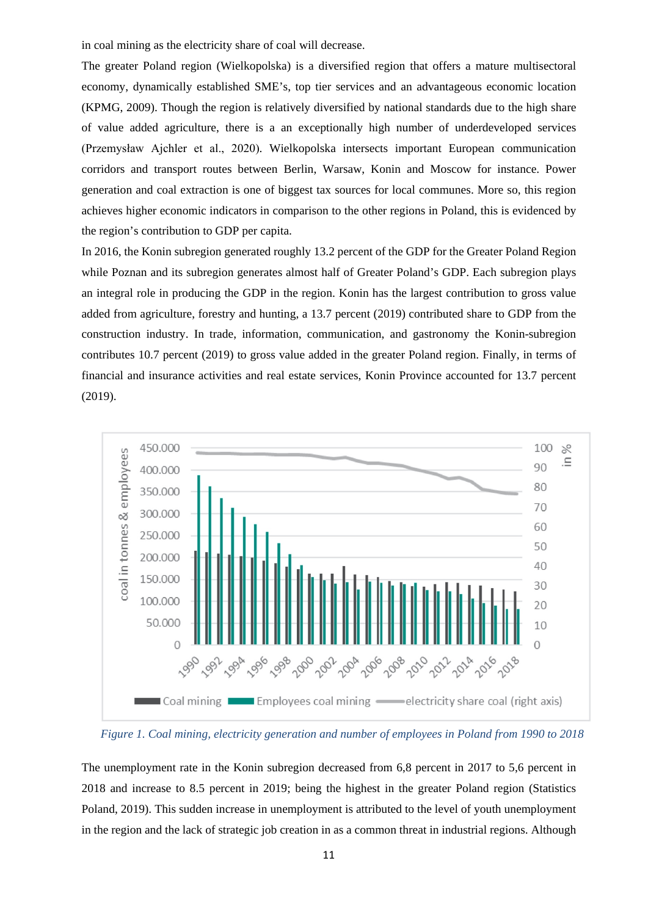in coal mining as the electricity share of coal will decrease.

The greater Poland region (Wielkopolska) is a diversified region that offers a mature multisectoral economy, dynamically established SME's, top tier services and an advantageous economic location (KPMG, 2009). Though the region is relatively diversified by national standards due to the high share of value added agriculture, there is a an exceptionally high number of underdeveloped services (Przemysław Ajchler et al., 2020). Wielkopolska intersects important European communication corridors and transport routes between Berlin, Warsaw, Konin and Moscow for instance. Power generation and coal extraction is one of biggest tax sources for local communes. More so, this region achieves higher economic indicators in comparison to the other regions in Poland, this is evidenced by the region's contribution to GDP per capita.

In 2016, the Konin subregion generated roughly 13.2 percent of the GDP for the Greater Poland Region while Poznan and its subregion generates almost half of Greater Poland's GDP. Each subregion plays an integral role in producing the GDP in the region. Konin has the largest contribution to gross value added from agriculture, forestry and hunting, a 13.7 percent (2019) contributed share to GDP from the construction industry. In trade, information, communication, and gastronomy the Konin-subregion contributes 10.7 percent (2019) to gross value added in the greater Poland region. Finally, in terms of financial and insurance activities and real estate services, Konin Province accounted for 13.7 percent (2019).



*Figure 1. Coal mining, electricity generation and number of employees in Poland from 1990 to 2018*

The unemployment rate in the Konin subregion decreased from 6,8 percent in 2017 to 5,6 percent in 2018 and increase to 8.5 percent in 2019; being the highest in the greater Poland region (Statistics Poland, 2019). This sudden increase in unemployment is attributed to the level of youth unemployment in the region and the lack of strategic job creation in as a common threat in industrial regions. Although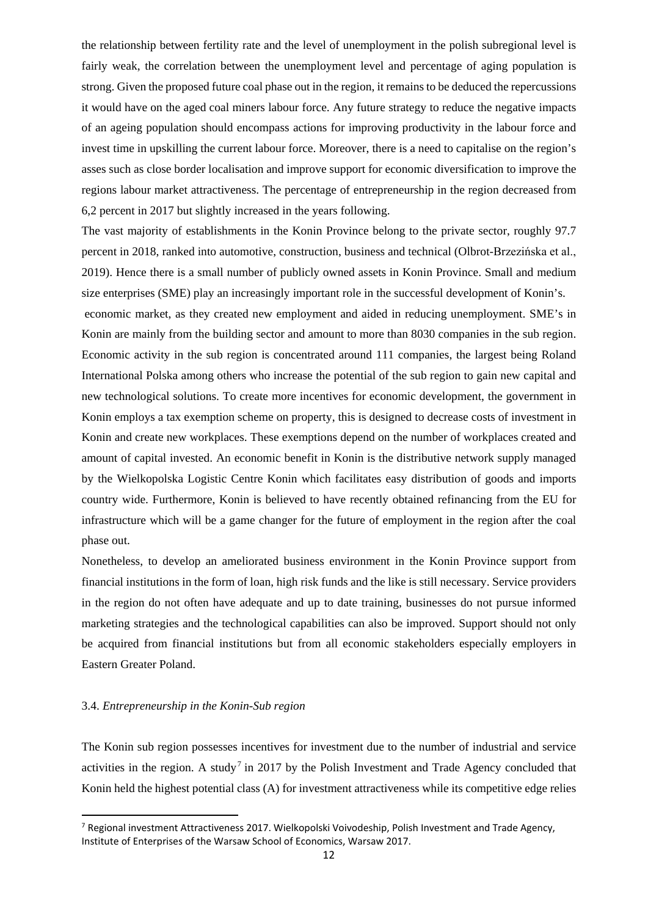the relationship between fertility rate and the level of unemployment in the polish subregional level is fairly weak, the correlation between the unemployment level and percentage of aging population is strong. Given the proposed future coal phase out in the region, it remains to be deduced the repercussions it would have on the aged coal miners labour force. Any future strategy to reduce the negative impacts of an ageing population should encompass actions for improving productivity in the labour force and invest time in upskilling the current labour force. Moreover, there is a need to capitalise on the region's asses such as close border localisation and improve support for economic diversification to improve the regions labour market attractiveness. The percentage of entrepreneurship in the region decreased from 6,2 percent in 2017 but slightly increased in the years following.

The vast majority of establishments in the Konin Province belong to the private sector, roughly 97.7 percent in 2018, ranked into automotive, construction, business and technical (Olbrot-Brzezińska et al., 2019). Hence there is a small number of publicly owned assets in Konin Province. Small and medium size enterprises (SME) play an increasingly important role in the successful development of Konin's.

economic market, as they created new employment and aided in reducing unemployment. SME's in Konin are mainly from the building sector and amount to more than 8030 companies in the sub region. Economic activity in the sub region is concentrated around 111 companies, the largest being Roland International Polska among others who increase the potential of the sub region to gain new capital and new technological solutions. To create more incentives for economic development, the government in Konin employs a tax exemption scheme on property, this is designed to decrease costs of investment in Konin and create new workplaces. These exemptions depend on the number of workplaces created and amount of capital invested. An economic benefit in Konin is the distributive network supply managed by the Wielkopolska Logistic Centre Konin which facilitates easy distribution of goods and imports country wide. Furthermore, Konin is believed to have recently obtained refinancing from the EU for infrastructure which will be a game changer for the future of employment in the region after the coal phase out.

Nonetheless, to develop an ameliorated business environment in the Konin Province support from financial institutions in the form of loan, high risk funds and the like is still necessary. Service providers in the region do not often have adequate and up to date training, businesses do not pursue informed marketing strategies and the technological capabilities can also be improved. Support should not only be acquired from financial institutions but from all economic stakeholders especially employers in Eastern Greater Poland.

#### 3.4. *Entrepreneurship in the Konin-Sub region*

The Konin sub region possesses incentives for investment due to the number of industrial and service activities in the region. A study<sup>[7](#page-11-0)</sup> in 2017 by the Polish Investment and Trade Agency concluded that Konin held the highest potential class (A) for investment attractiveness while its competitive edge relies

<span id="page-11-0"></span> $^7$  Regional investment Attractiveness 2017. Wielkopolski Voivodeship, Polish Investment and Trade Agency, Institute of Enterprises of the Warsaw School of Economics, Warsaw 2017.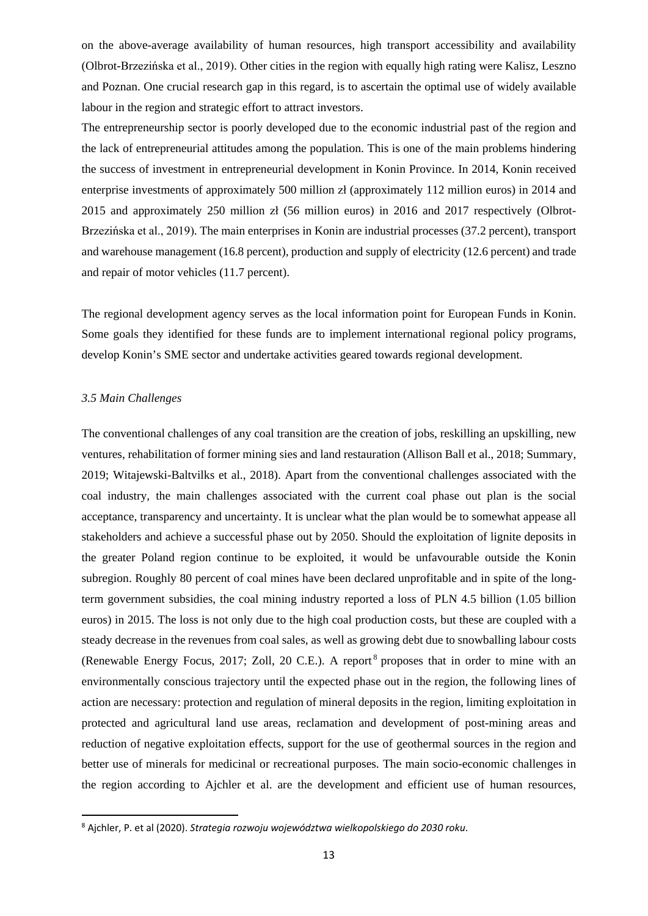on the above-average availability of human resources, high transport accessibility and availability (Olbrot-Brzezińska et al., 2019). Other cities in the region with equally high rating were Kalisz, Leszno and Poznan. One crucial research gap in this regard, is to ascertain the optimal use of widely available labour in the region and strategic effort to attract investors.

The entrepreneurship sector is poorly developed due to the economic industrial past of the region and the lack of entrepreneurial attitudes among the population. This is one of the main problems hindering the success of investment in entrepreneurial development in Konin Province. In 2014, Konin received enterprise investments of approximately 500 million zł (approximately 112 million euros) in 2014 and 2015 and approximately 250 million zł (56 million euros) in 2016 and 2017 respectively (Olbrot-Brzezińska et al., 2019). The main enterprises in Konin are industrial processes (37.2 percent), transport and warehouse management (16.8 percent), production and supply of electricity (12.6 percent) and trade and repair of motor vehicles (11.7 percent).

The regional development agency serves as the local information point for European Funds in Konin. Some goals they identified for these funds are to implement international regional policy programs, develop Konin's SME sector and undertake activities geared towards regional development.

#### <span id="page-12-0"></span>*3.5 Main Challenges*

The conventional challenges of any coal transition are the creation of jobs, reskilling an upskilling, new ventures, rehabilitation of former mining sies and land restauration (Allison Ball et al., 2018; Summary, 2019; Witajewski-Baltvilks et al., 2018). Apart from the conventional challenges associated with the coal industry, the main challenges associated with the current coal phase out plan is the social acceptance, transparency and uncertainty. It is unclear what the plan would be to somewhat appease all stakeholders and achieve a successful phase out by 2050. Should the exploitation of lignite deposits in the greater Poland region continue to be exploited, it would be unfavourable outside the Konin subregion. Roughly 80 percent of coal mines have been declared unprofitable and in spite of the longterm government subsidies, the coal mining industry reported a loss of PLN 4.5 billion (1.05 billion euros) in 2015. The loss is not only due to the high coal production costs, but these are coupled with a steady decrease in the revenues from coal sales, as well as growing debt due to snowballing labour costs (Renewable Energy Focus, 2017; Zoll, 20 C.E.). A report<sup>[8](#page-12-1)</sup> proposes that in order to mine with an environmentally conscious trajectory until the expected phase out in the region, the following lines of action are necessary: protection and regulation of mineral deposits in the region, limiting exploitation in protected and agricultural land use areas, reclamation and development of post-mining areas and reduction of negative exploitation effects, support for the use of geothermal sources in the region and better use of minerals for medicinal or recreational purposes. The main socio-economic challenges in the region according to Ajchler et al. are the development and efficient use of human resources,

<span id="page-12-1"></span> <sup>8</sup> Ajchler, P. et al (2020). *Strategia rozwoju województwa wielkopolskiego do 2030 roku*.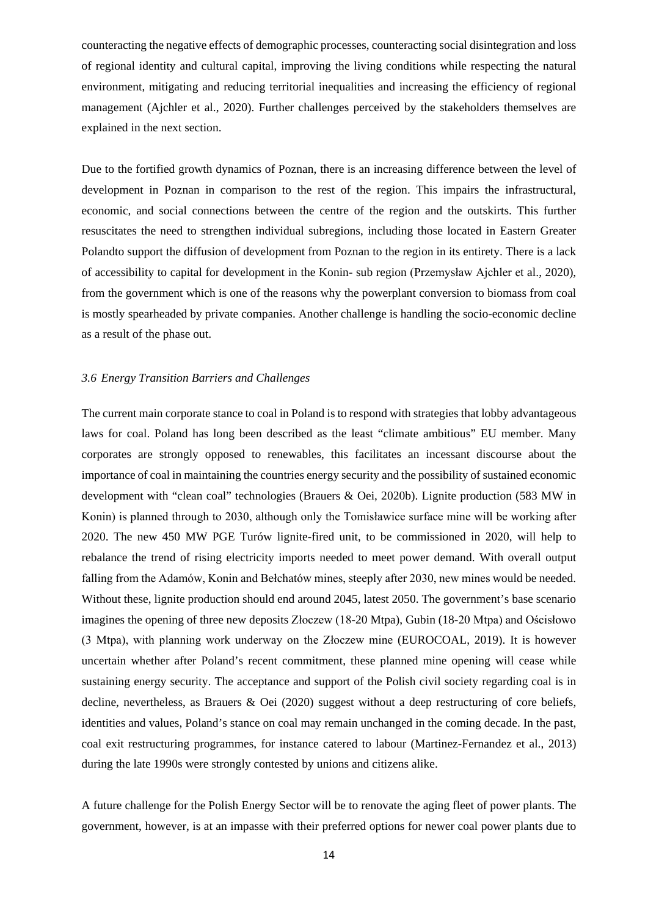counteracting the negative effects of demographic processes, counteracting social disintegration and loss of regional identity and cultural capital, improving the living conditions while respecting the natural environment, mitigating and reducing territorial inequalities and increasing the efficiency of regional management (Ajchler et al., 2020). Further challenges perceived by the stakeholders themselves are explained in the next section.

Due to the fortified growth dynamics of Poznan, there is an increasing difference between the level of development in Poznan in comparison to the rest of the region. This impairs the infrastructural, economic, and social connections between the centre of the region and the outskirts. This further resuscitates the need to strengthen individual subregions, including those located in Eastern Greater Polandto support the diffusion of development from Poznan to the region in its entirety. There is a lack of accessibility to capital for development in the Konin- sub region (Przemysław Ajchler et al., 2020), from the government which is one of the reasons why the powerplant conversion to biomass from coal is mostly spearheaded by private companies. Another challenge is handling the socio-economic decline as a result of the phase out.

#### <span id="page-13-0"></span>*3.6 Energy Transition Barriers and Challenges*

The current main corporate stance to coal in Poland is to respond with strategies that lobby advantageous laws for coal. Poland has long been described as the least "climate ambitious" EU member. Many corporates are strongly opposed to renewables, this facilitates an incessant discourse about the importance of coal in maintaining the countries energy security and the possibility of sustained economic development with "clean coal" technologies (Brauers & Oei, 2020b). Lignite production (583 MW in Konin) is planned through to 2030, although only the Tomisławice surface mine will be working after 2020. The new 450 MW PGE Turów lignite-fired unit, to be commissioned in 2020, will help to rebalance the trend of rising electricity imports needed to meet power demand. With overall output falling from the Adamów, Konin and Bełchatów mines, steeply after 2030, new mines would be needed. Without these, lignite production should end around 2045, latest 2050. The government's base scenario imagines the opening of three new deposits Złoczew (18-20 Mtpa), Gubin (18-20 Mtpa) and Ościsłowo (3 Mtpa), with planning work underway on the Złoczew mine (EUROCOAL, 2019). It is however uncertain whether after Poland's recent commitment, these planned mine opening will cease while sustaining energy security. The acceptance and support of the Polish civil society regarding coal is in decline, nevertheless, as Brauers & Oei (2020) suggest without a deep restructuring of core beliefs, identities and values, Poland's stance on coal may remain unchanged in the coming decade. In the past, coal exit restructuring programmes, for instance catered to labour (Martinez-Fernandez et al., 2013) during the late 1990s were strongly contested by unions and citizens alike.

A future challenge for the Polish Energy Sector will be to renovate the aging fleet of power plants. The government, however, is at an impasse with their preferred options for newer coal power plants due to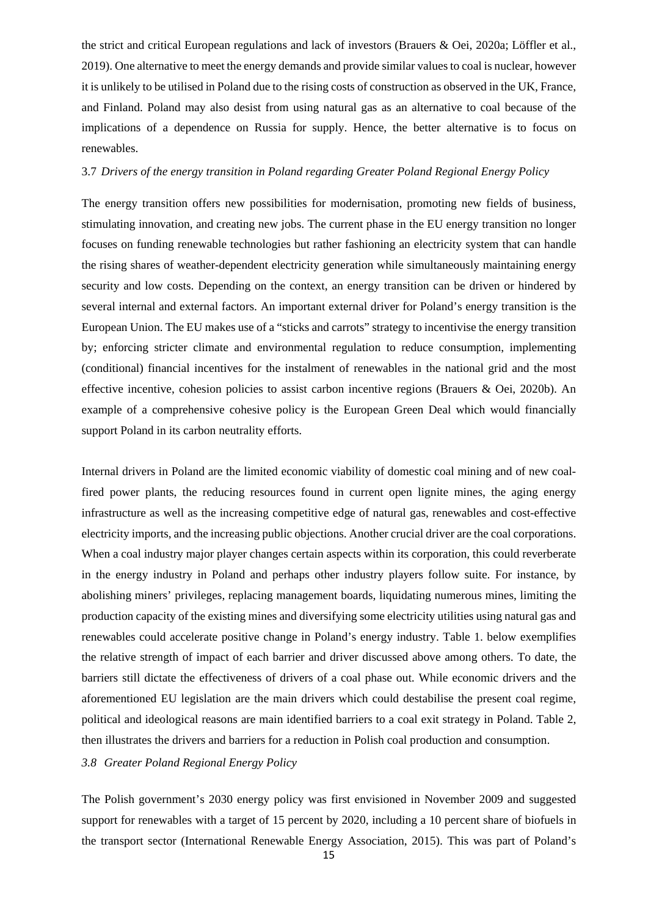the strict and critical European regulations and lack of investors (Brauers & Oei, 2020a; Löffler et al., 2019). One alternative to meet the energy demands and provide similar values to coal is nuclear, however it is unlikely to be utilised in Poland due to the rising costs of construction as observed in the UK, France, and Finland. Poland may also desist from using natural gas as an alternative to coal because of the implications of a dependence on Russia for supply. Hence, the better alternative is to focus on renewables.

#### <span id="page-14-0"></span>3.7 *Drivers of the energy transition in Poland regarding Greater Poland Regional Energy Policy*

The energy transition offers new possibilities for modernisation, promoting new fields of business, stimulating innovation, and creating new jobs. The current phase in the EU energy transition no longer focuses on funding renewable technologies but rather fashioning an electricity system that can handle the rising shares of weather-dependent electricity generation while simultaneously maintaining energy security and low costs. Depending on the context, an energy transition can be driven or hindered by several internal and external factors. An important external driver for Poland's energy transition is the European Union. The EU makes use of a "sticks and carrots" strategy to incentivise the energy transition by; enforcing stricter climate and environmental regulation to reduce consumption, implementing (conditional) financial incentives for the instalment of renewables in the national grid and the most effective incentive, cohesion policies to assist carbon incentive regions (Brauers & Oei, 2020b). An example of a comprehensive cohesive policy is the European Green Deal which would financially support Poland in its carbon neutrality efforts.

Internal drivers in Poland are the limited economic viability of domestic coal mining and of new coalfired power plants, the reducing resources found in current open lignite mines, the aging energy infrastructure as well as the increasing competitive edge of natural gas, renewables and cost-effective electricity imports, and the increasing public objections. Another crucial driver are the coal corporations. When a coal industry major player changes certain aspects within its corporation, this could reverberate in the energy industry in Poland and perhaps other industry players follow suite. For instance, by abolishing miners' privileges, replacing management boards, liquidating numerous mines, limiting the production capacity of the existing mines and diversifying some electricity utilities using natural gas and renewables could accelerate positive change in Poland's energy industry. Table 1. below exemplifies the relative strength of impact of each barrier and driver discussed above among others. To date, the barriers still dictate the effectiveness of drivers of a coal phase out. While economic drivers and the aforementioned EU legislation are the main drivers which could destabilise the present coal regime, political and ideological reasons are main identified barriers to a coal exit strategy in Poland. Table 2, then illustrates the drivers and barriers for a reduction in Polish coal production and consumption.

### <span id="page-14-1"></span>*3.8 Greater Poland Regional Energy Policy*

The Polish government's 2030 energy policy was first envisioned in November 2009 and suggested support for renewables with a target of 15 percent by 2020, including a 10 percent share of biofuels in the transport sector (International Renewable Energy Association, 2015). This was part of Poland's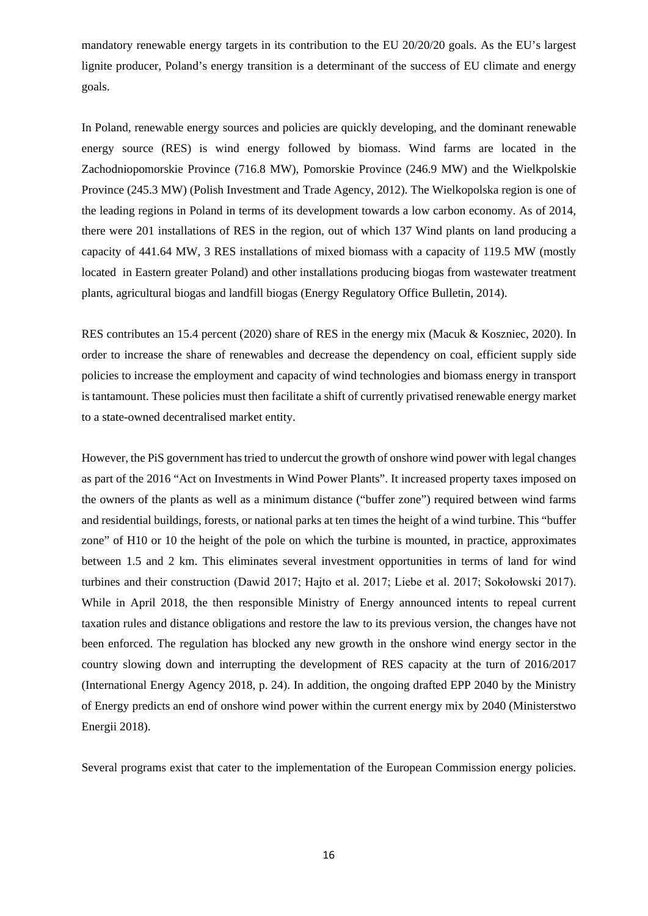mandatory renewable energy targets in its contribution to the EU 20/20/20 goals. As the EU's largest lignite producer, Poland's energy transition is a determinant of the success of EU climate and energy goals.

In Poland, renewable energy sources and policies are quickly developing, and the dominant renewable energy source (RES) is wind energy followed by biomass. Wind farms are located in the Zachodniopomorskie Province (716.8 MW), Pomorskie Province (246.9 MW) and the Wielkpolskie Province (245.3 MW) (Polish Investment and Trade Agency, 2012). The Wielkopolska region is one of the leading regions in Poland in terms of its development towards a low carbon economy. As of 2014, there were 201 installations of RES in the region, out of which 137 Wind plants on land producing a capacity of 441.64 MW, 3 RES installations of mixed biomass with a capacity of 119.5 MW (mostly located in Eastern greater Poland) and other installations producing biogas from wastewater treatment plants, agricultural biogas and landfill biogas (Energy Regulatory Office Bulletin, 2014).

RES contributes an 15.4 percent (2020) share of RES in the energy mix (Macuk & Koszniec, 2020). In order to increase the share of renewables and decrease the dependency on coal, efficient supply side policies to increase the employment and capacity of wind technologies and biomass energy in transport is tantamount. These policies must then facilitate a shift of currently privatised renewable energy market to a state-owned decentralised market entity.

However, the PiS government has tried to undercut the growth of onshore wind power with legal changes as part of the 2016 "Act on Investments in Wind Power Plants". It increased property taxes imposed on the owners of the plants as well as a minimum distance ("buffer zone") required between wind farms and residential buildings, forests, or national parks at ten times the height of a wind turbine. This "buffer zone" of H10 or 10 the height of the pole on which the turbine is mounted, in practice, approximates between 1.5 and 2 km. This eliminates several investment opportunities in terms of land for wind turbines and their construction (Dawid 2017; Hajto et al. 2017; Liebe et al. 2017; Sokołowski 2017). While in April 2018, the then responsible Ministry of Energy announced intents to repeal current taxation rules and distance obligations and restore the law to its previous version, the changes have not been enforced. The regulation has blocked any new growth in the onshore wind energy sector in the country slowing down and interrupting the development of RES capacity at the turn of 2016/2017 (International Energy Agency 2018, p. 24). In addition, the ongoing drafted EPP 2040 by the Ministry of Energy predicts an end of onshore wind power within the current energy mix by 2040 (Ministerstwo Energii 2018).

Several programs exist that cater to the implementation of the European Commission energy policies.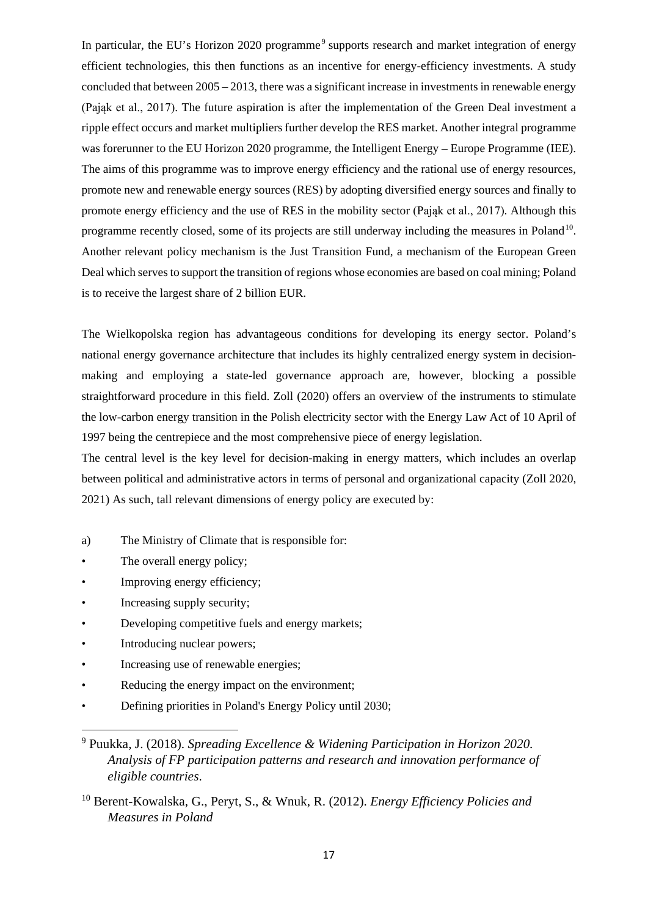In particular, the EU's Horizon 2020 programme<sup>[9](#page-16-0)</sup> supports research and market integration of energy efficient technologies, this then functions as an incentive for energy-efficiency investments. A study concluded that between 2005 – 2013, there was a significant increase in investments in renewable energy (Pająk et al., 2017). The future aspiration is after the implementation of the Green Deal investment a ripple effect occurs and market multipliers further develop the RES market. Another integral programme was forerunner to the EU Horizon 2020 programme, the Intelligent Energy – Europe Programme (IEE). The aims of this programme was to improve energy efficiency and the rational use of energy resources, promote new and renewable energy sources (RES) by adopting diversified energy sources and finally to promote energy efficiency and the use of RES in the mobility sector (Pająk et al., 2017). Although this programme recently closed, some of its projects are still underway including the measures in Poland<sup>10</sup>. Another relevant policy mechanism is the Just Transition Fund, a mechanism of the European Green Deal which serves to support the transition of regions whose economies are based on coal mining; Poland is to receive the largest share of 2 billion EUR.

The Wielkopolska region has advantageous conditions for developing its energy sector. Poland's national energy governance architecture that includes its highly centralized energy system in decisionmaking and employing a state-led governance approach are, however, blocking a possible straightforward procedure in this field. Zoll (2020) offers an overview of the instruments to stimulate the low-carbon energy transition in the Polish electricity sector with the Energy Law Act of 10 April of 1997 being the centrepiece and the most comprehensive piece of energy legislation.

The central level is the key level for decision-making in energy matters, which includes an overlap between political and administrative actors in terms of personal and organizational capacity (Zoll 2020, 2021) As such, tall relevant dimensions of energy policy are executed by:

- a) The Ministry of Climate that is responsible for:
- The overall energy policy;
- Improving energy efficiency;
- Increasing supply security;
- Developing competitive fuels and energy markets;
- Introducing nuclear powers;

**.** 

- Increasing use of renewable energies;
- Reducing the energy impact on the environment;
- Defining priorities in Poland's Energy Policy until 2030;

<span id="page-16-0"></span><sup>9</sup> Puukka, J. (2018). *Spreading Excellence & Widening Participation in Horizon 2020. Analysis of FP participation patterns and research and innovation performance of eligible countries*.

<span id="page-16-1"></span><sup>10</sup> Berent-Kowalska, G., Peryt, S., & Wnuk, R. (2012). *Energy Efficiency Policies and Measures in Poland*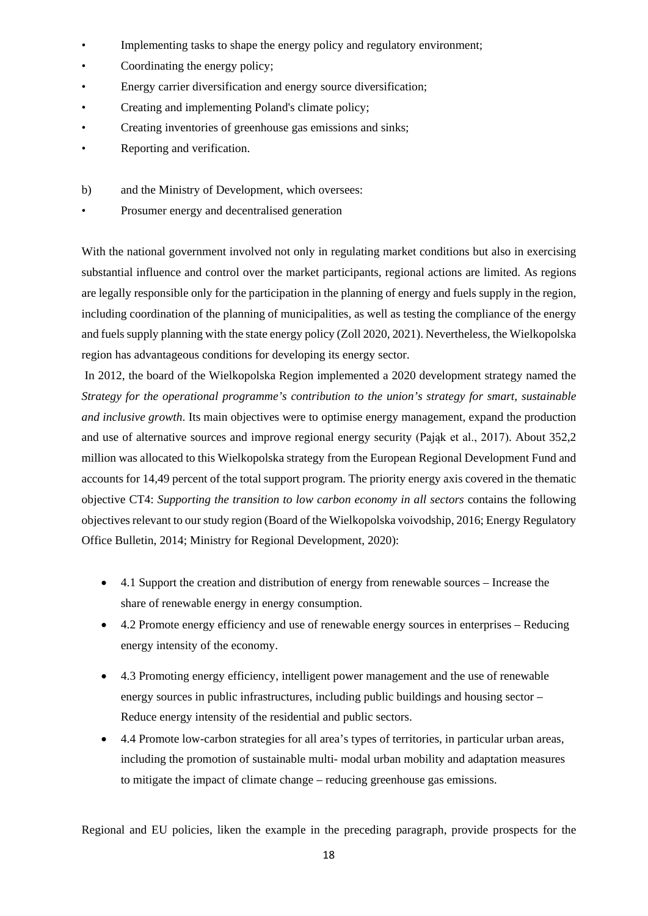- Implementing tasks to shape the energy policy and regulatory environment;
- Coordinating the energy policy;
- Energy carrier diversification and energy source diversification;
- Creating and implementing Poland's climate policy;
- Creating inventories of greenhouse gas emissions and sinks;
- Reporting and verification.
- b) and the Ministry of Development, which oversees:
- Prosumer energy and decentralised generation

With the national government involved not only in regulating market conditions but also in exercising substantial influence and control over the market participants, regional actions are limited. As regions are legally responsible only for the participation in the planning of energy and fuels supply in the region, including coordination of the planning of municipalities, as well as testing the compliance of the energy and fuels supply planning with the state energy policy (Zoll 2020, 2021). Nevertheless, the Wielkopolska region has advantageous conditions for developing its energy sector.

In 2012, the board of the Wielkopolska Region implemented a 2020 development strategy named the *Strategy for the operational programme's contribution to the union's strategy for smart, sustainable and inclusive growth*. Its main objectives were to optimise energy management, expand the production and use of alternative sources and improve regional energy security (Pająk et al., 2017). About 352,2 million was allocated to this Wielkopolska strategy from the European Regional Development Fund and accounts for 14,49 percent of the total support program. The priority energy axis covered in the thematic objective CT4: *Supporting the transition to low carbon economy in all sectors* contains the following objectives relevant to our study region (Board of the Wielkopolska voivodship, 2016; Energy Regulatory Office Bulletin, 2014; Ministry for Regional Development, 2020):

- 4.1 Support the creation and distribution of energy from renewable sources Increase the share of renewable energy in energy consumption.
- 4.2 Promote energy efficiency and use of renewable energy sources in enterprises Reducing energy intensity of the economy.
- 4.3 Promoting energy efficiency, intelligent power management and the use of renewable energy sources in public infrastructures, including public buildings and housing sector – Reduce energy intensity of the residential and public sectors.
- 4.4 Promote low-carbon strategies for all area's types of territories, in particular urban areas, including the promotion of sustainable multi- modal urban mobility and adaptation measures to mitigate the impact of climate change – reducing greenhouse gas emissions.

Regional and EU policies, liken the example in the preceding paragraph, provide prospects for the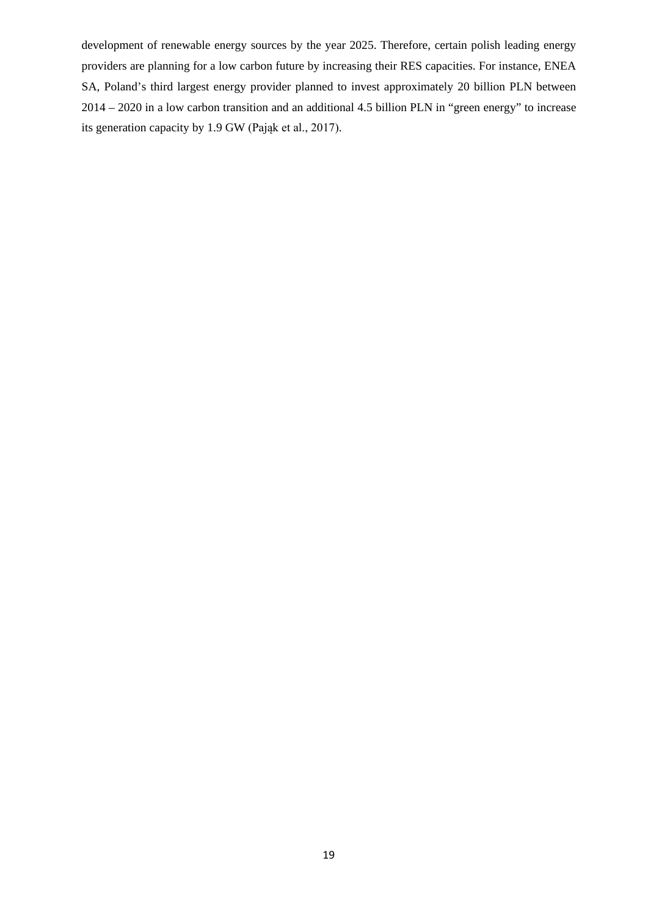development of renewable energy sources by the year 2025. Therefore, certain polish leading energy providers are planning for a low carbon future by increasing their RES capacities. For instance, ENEA SA, Poland's third largest energy provider planned to invest approximately 20 billion PLN between 2014 – 2020 in a low carbon transition and an additional 4.5 billion PLN in "green energy" to increase its generation capacity by 1.9 GW (Pająk et al., 2017).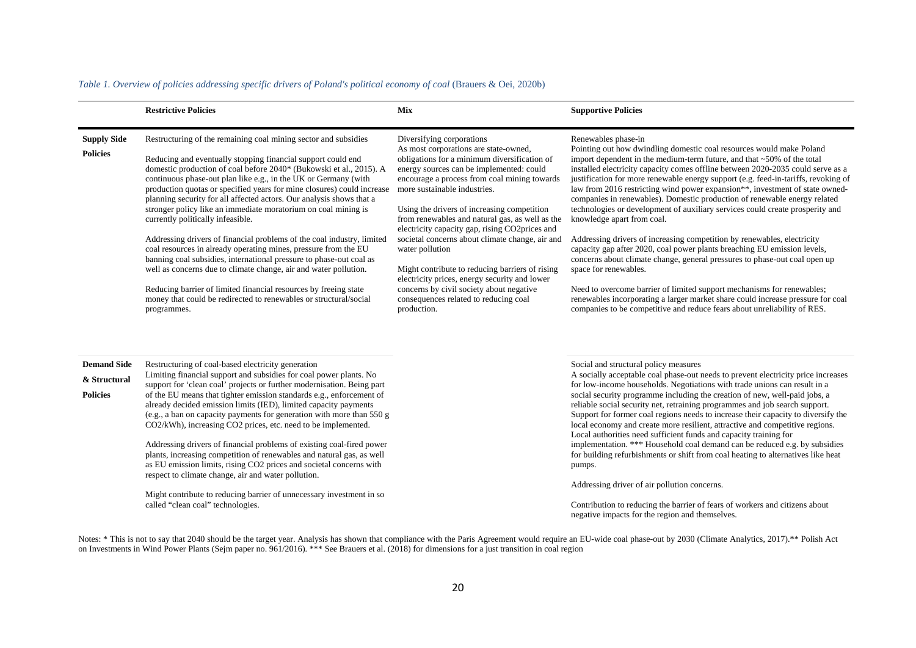|                                                       | <b>Restrictive Policies</b>                                                                                                                                                                                                                                                                                                                                                                                                                                                                                                                                                                                                                                                                                                                                                                                                                                                                                                                                                        | <b>Mix</b>                                                                                                                                                                                                                                                                                                                                                                                                                                                                                                                                                                                                                                                                       | <b>Supportive Policies</b>                                                                                                                                                                                                                                                                                                                                                                                                                                                                                                                                                                                                                                                                                                                                                                                                                                                                                                                                                                                                                                                                                                              |
|-------------------------------------------------------|------------------------------------------------------------------------------------------------------------------------------------------------------------------------------------------------------------------------------------------------------------------------------------------------------------------------------------------------------------------------------------------------------------------------------------------------------------------------------------------------------------------------------------------------------------------------------------------------------------------------------------------------------------------------------------------------------------------------------------------------------------------------------------------------------------------------------------------------------------------------------------------------------------------------------------------------------------------------------------|----------------------------------------------------------------------------------------------------------------------------------------------------------------------------------------------------------------------------------------------------------------------------------------------------------------------------------------------------------------------------------------------------------------------------------------------------------------------------------------------------------------------------------------------------------------------------------------------------------------------------------------------------------------------------------|-----------------------------------------------------------------------------------------------------------------------------------------------------------------------------------------------------------------------------------------------------------------------------------------------------------------------------------------------------------------------------------------------------------------------------------------------------------------------------------------------------------------------------------------------------------------------------------------------------------------------------------------------------------------------------------------------------------------------------------------------------------------------------------------------------------------------------------------------------------------------------------------------------------------------------------------------------------------------------------------------------------------------------------------------------------------------------------------------------------------------------------------|
| <b>Supply Side</b><br><b>Policies</b>                 | Restructuring of the remaining coal mining sector and subsidies<br>Reducing and eventually stopping financial support could end<br>domestic production of coal before 2040* (Bukowski et al., 2015). A<br>continuous phase-out plan like e.g., in the UK or Germany (with<br>production quotas or specified years for mine closures) could increase<br>planning security for all affected actors. Our analysis shows that a<br>stronger policy like an immediate moratorium on coal mining is<br>currently politically infeasible.<br>Addressing drivers of financial problems of the coal industry, limited<br>coal resources in already operating mines, pressure from the EU<br>banning coal subsidies, international pressure to phase-out coal as<br>well as concerns due to climate change, air and water pollution.<br>Reducing barrier of limited financial resources by freeing state<br>money that could be redirected to renewables or structural/social<br>programmes. | Diversifying corporations<br>As most corporations are state-owned,<br>obligations for a minimum diversification of<br>energy sources can be implemented: could<br>encourage a process from coal mining towards<br>more sustainable industries.<br>Using the drivers of increasing competition<br>from renewables and natural gas, as well as the<br>electricity capacity gap, rising CO2prices and<br>societal concerns about climate change, air and<br>water pollution<br>Might contribute to reducing barriers of rising<br>electricity prices, energy security and lower<br>concerns by civil society about negative<br>consequences related to reducing coal<br>production. | Renewables phase-in<br>Pointing out how dwindling domestic coal resources would make Poland<br>import dependent in the medium-term future, and that $\sim$ 50% of the total<br>installed electricity capacity comes offline between 2020-2035 could serve as a<br>justification for more renewable energy support (e.g. feed-in-tariffs, revoking of<br>law from 2016 restricting wind power expansion**, investment of state owned-<br>companies in renewables). Domestic production of renewable energy related<br>technologies or development of auxiliary services could create prosperity and<br>knowledge apart from coal.<br>Addressing drivers of increasing competition by renewables, electricity<br>capacity gap after 2020, coal power plants breaching EU emission levels,<br>concerns about climate change, general pressures to phase-out coal open up<br>space for renewables.<br>Need to overcome barrier of limited support mechanisms for renewables;<br>renewables incorporating a larger market share could increase pressure for coal<br>companies to be competitive and reduce fears about unreliability of RES. |
| <b>Demand Side</b><br>& Structural<br><b>Policies</b> | Restructuring of coal-based electricity generation<br>Limiting financial support and subsidies for coal power plants. No<br>support for 'clean coal' projects or further modernisation. Being part<br>of the EU means that tighter emission standards e.g., enforcement of<br>already decided emission limits (IED), limited capacity payments<br>(e.g., a ban on capacity payments for generation with more than 550 g<br>CO2/kWh), increasing CO2 prices, etc. need to be implemented.<br>Addressing drivers of financial problems of existing coal-fired power<br>plants, increasing competition of renewables and natural gas, as well<br>as EU emission limits, rising CO2 prices and societal concerns with<br>respect to climate change, air and water pollution.<br>Might contribute to reducing barrier of unnecessary investment in so<br>called "clean coal" technologies.                                                                                              |                                                                                                                                                                                                                                                                                                                                                                                                                                                                                                                                                                                                                                                                                  | Social and structural policy measures<br>A socially acceptable coal phase-out needs to prevent electricity price increases<br>for low-income households. Negotiations with trade unions can result in a<br>social security programme including the creation of new, well-paid jobs, a<br>reliable social security net, retraining programmes and job search support.<br>Support for former coal regions needs to increase their capacity to diversify the<br>local economy and create more resilient, attractive and competitive regions.<br>Local authorities need sufficient funds and capacity training for<br>implementation. *** Household coal demand can be reduced e.g. by subsidies<br>for building refurbishments or shift from coal heating to alternatives like heat<br>pumps.<br>Addressing driver of air pollution concerns.<br>Contribution to reducing the barrier of fears of workers and citizens about<br>negative impacts for the region and themselves.                                                                                                                                                            |

#### *Table 1. Overview of policies addressing specific drivers of Poland's political economy of coal* (Brauers & Oei, 2020b)

Notes: \* This is not to say that 2040 should be the target year. Analysis has shown that compliance with the Paris Agreement would require an EU-wide coal phase-out by 2030 [\(Climate Analytics, 2017\)](https://www.sciencedirect.com/science/article/pii/S0301421520303578#bib128).\*\* Polish Act on Investments in Wind Power Plants (Sejm paper no. 961/2016). \*\*\* See [Brauers et al. \(2018\)](https://www.sciencedirect.com/science/article/pii/S0301421520303578#bib19) for dimensions for a just transition in coal region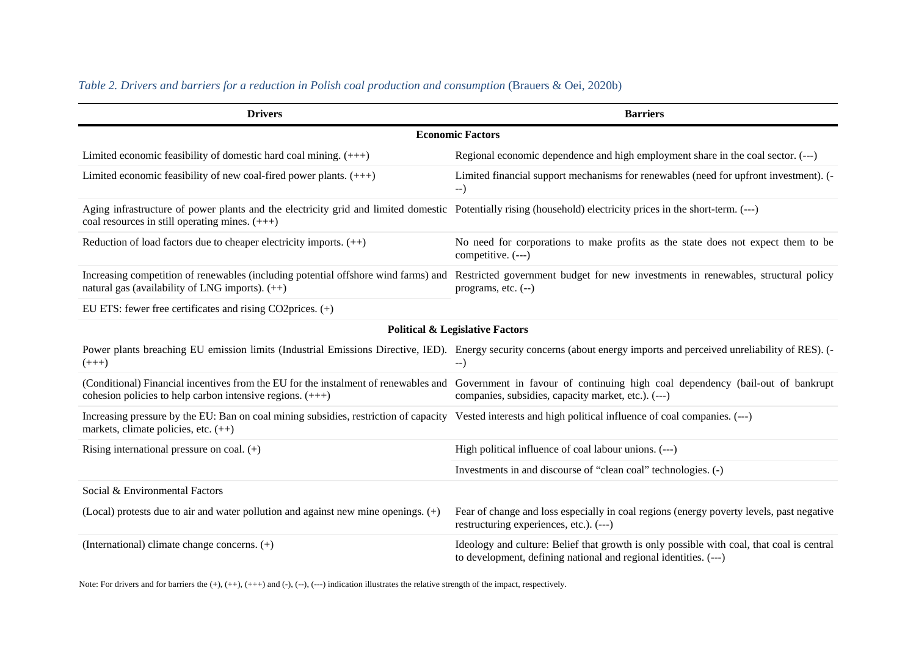| <b>Drivers</b>                                                                                                                                                                                                   | <b>Barriers</b>                                                                                                                                                                                                          |
|------------------------------------------------------------------------------------------------------------------------------------------------------------------------------------------------------------------|--------------------------------------------------------------------------------------------------------------------------------------------------------------------------------------------------------------------------|
|                                                                                                                                                                                                                  | <b>Economic Factors</b>                                                                                                                                                                                                  |
| Limited economic feasibility of domestic hard coal mining. $(++)$                                                                                                                                                | Regional economic dependence and high employment share in the coal sector. (---)                                                                                                                                         |
| Limited economic feasibility of new coal-fired power plants. $(++)$                                                                                                                                              | Limited financial support mechanisms for renewables (need for upfront investment). (-<br>$-$ )                                                                                                                           |
| Aging infrastructure of power plants and the electricity grid and limited domestic Potentially rising (household) electricity prices in the short-term. (---)<br>coal resources in still operating mines. $(++)$ |                                                                                                                                                                                                                          |
| Reduction of load factors due to cheaper electricity imports. $(++)$                                                                                                                                             | No need for corporations to make profits as the state does not expect them to be<br>competitive. (---)                                                                                                                   |
| natural gas (availability of LNG imports). $(++)$                                                                                                                                                                | Increasing competition of renewables (including potential offshore wind farms) and Restricted government budget for new investments in renewables, structural policy<br>programs, etc. $(-)$                             |
| EU ETS: fewer free certificates and rising CO2prices. (+)                                                                                                                                                        |                                                                                                                                                                                                                          |
|                                                                                                                                                                                                                  | <b>Political &amp; Legislative Factors</b>                                                                                                                                                                               |
| $(+++)$                                                                                                                                                                                                          | Power plants breaching EU emission limits (Industrial Emissions Directive, IED). Energy security concerns (about energy imports and perceived unreliability of RES). (-<br>$-$ )                                         |
| cohesion policies to help carbon intensive regions. $(++)$                                                                                                                                                       | (Conditional) Financial incentives from the EU for the instalment of renewables and Government in favour of continuing high coal dependency (bail-out of bankrupt<br>companies, subsidies, capacity market, etc.). (---) |
| Increasing pressure by the EU: Ban on coal mining subsidies, restriction of capacity Vested interests and high political influence of coal companies. (---)<br>markets, climate policies, etc. (++)              |                                                                                                                                                                                                                          |
| Rising international pressure on coal. $(+)$                                                                                                                                                                     | High political influence of coal labour unions. (---)                                                                                                                                                                    |
|                                                                                                                                                                                                                  | Investments in and discourse of "clean coal" technologies. (-)                                                                                                                                                           |
| Social & Environmental Factors                                                                                                                                                                                   |                                                                                                                                                                                                                          |
| (Local) protests due to air and water pollution and against new mine openings. $(+)$                                                                                                                             | Fear of change and loss especially in coal regions (energy poverty levels, past negative<br>restructuring experiences, etc.). (---)                                                                                      |
| (International) climate change concerns. (+)                                                                                                                                                                     | Ideology and culture: Belief that growth is only possible with coal, that coal is central<br>to development, defining national and regional identities. (---)                                                            |

## *Table 2. Drivers and barriers for a reduction in Polish coal production and consumption* (Brauers & Oei, 2020b)

Note: For drivers and for barriers the (+), (++), (+++) and (-), (--), (---) indication illustrates the relative strength of the impact, respectively.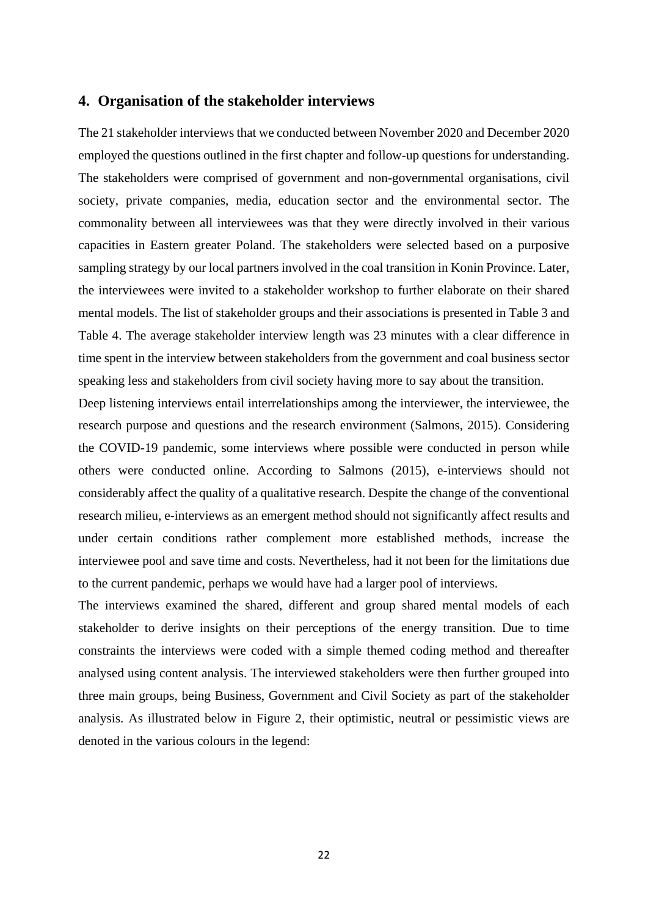## <span id="page-21-0"></span>**4. Organisation of the stakeholder interviews**

The 21 stakeholder interviews that we conducted between November 2020 and December 2020 employed the questions outlined in the first chapter and follow-up questions for understanding. The stakeholders were comprised of government and non-governmental organisations, civil society, private companies, media, education sector and the environmental sector. The commonality between all interviewees was that they were directly involved in their various capacities in Eastern greater Poland. The stakeholders were selected based on a purposive sampling strategy by our local partners involved in the coal transition in Konin Province. Later, the interviewees were invited to a stakeholder workshop to further elaborate on their shared mental models. The list of stakeholder groups and their associations is presented in Table 3 and Table 4. The average stakeholder interview length was 23 minutes with a clear difference in time spent in the interview between stakeholders from the government and coal business sector speaking less and stakeholders from civil society having more to say about the transition.

Deep listening interviews entail interrelationships among the interviewer, the interviewee, the research purpose and questions and the research environment (Salmons, 2015). Considering the COVID-19 pandemic, some interviews where possible were conducted in person while others were conducted online. According to Salmons (2015), e-interviews should not considerably affect the quality of a qualitative research. Despite the change of the conventional research milieu, e-interviews as an emergent method should not significantly affect results and under certain conditions rather complement more established methods, increase the interviewee pool and save time and costs. Nevertheless, had it not been for the limitations due to the current pandemic, perhaps we would have had a larger pool of interviews.

The interviews examined the shared, different and group shared mental models of each stakeholder to derive insights on their perceptions of the energy transition. Due to time constraints the interviews were coded with a simple themed coding method and thereafter analysed using content analysis. The interviewed stakeholders were then further grouped into three main groups, being Business, Government and Civil Society as part of the stakeholder analysis. As illustrated below in Figure 2, their optimistic, neutral or pessimistic views are denoted in the various colours in the legend: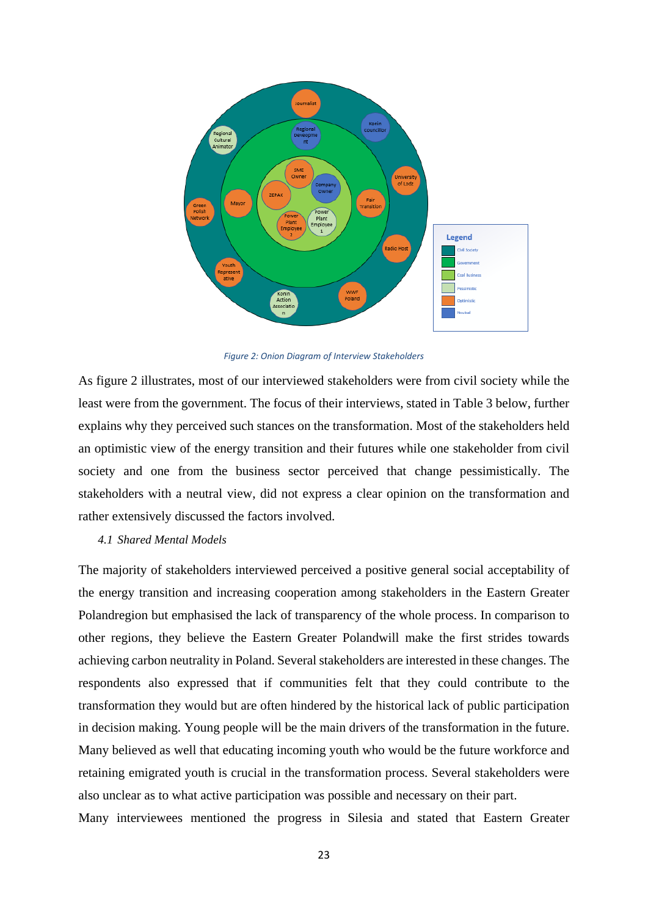

*Figure 2: Onion Diagram of Interview Stakeholders*

As figure 2 illustrates, most of our interviewed stakeholders were from civil society while the least were from the government. The focus of their interviews, stated in Table 3 below, further explains why they perceived such stances on the transformation. Most of the stakeholders held an optimistic view of the energy transition and their futures while one stakeholder from civil society and one from the business sector perceived that change pessimistically. The stakeholders with a neutral view, did not express a clear opinion on the transformation and rather extensively discussed the factors involved.

#### <span id="page-22-0"></span>*4.1 Shared Mental Models*

The majority of stakeholders interviewed perceived a positive general social acceptability of the energy transition and increasing cooperation among stakeholders in the Eastern Greater Polandregion but emphasised the lack of transparency of the whole process. In comparison to other regions, they believe the Eastern Greater Polandwill make the first strides towards achieving carbon neutrality in Poland. Several stakeholders are interested in these changes. The respondents also expressed that if communities felt that they could contribute to the transformation they would but are often hindered by the historical lack of public participation in decision making. Young people will be the main drivers of the transformation in the future. Many believed as well that educating incoming youth who would be the future workforce and retaining emigrated youth is crucial in the transformation process. Several stakeholders were also unclear as to what active participation was possible and necessary on their part.

Many interviewees mentioned the progress in Silesia and stated that Eastern Greater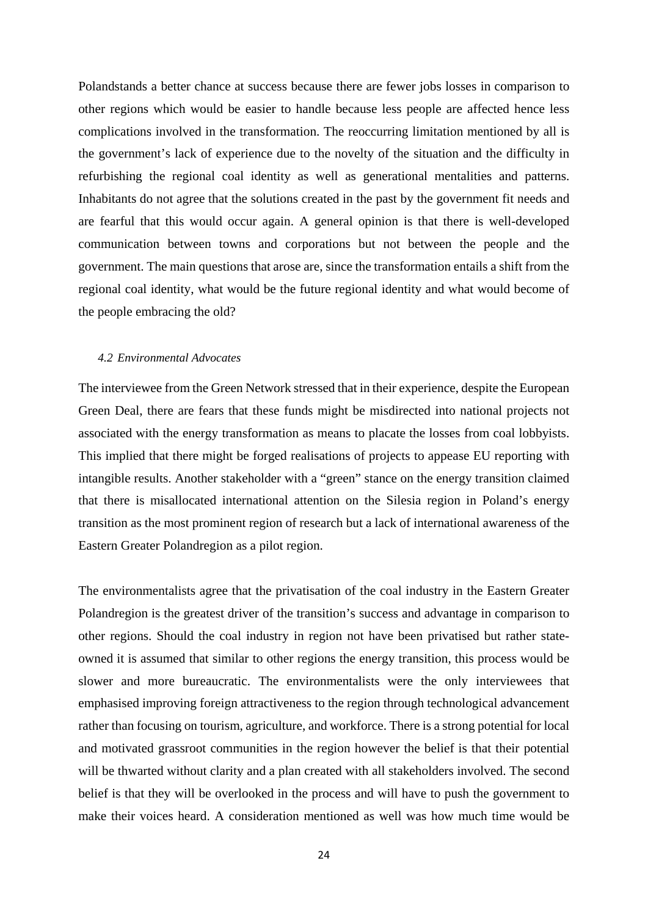Polandstands a better chance at success because there are fewer jobs losses in comparison to other regions which would be easier to handle because less people are affected hence less complications involved in the transformation. The reoccurring limitation mentioned by all is the government's lack of experience due to the novelty of the situation and the difficulty in refurbishing the regional coal identity as well as generational mentalities and patterns. Inhabitants do not agree that the solutions created in the past by the government fit needs and are fearful that this would occur again. A general opinion is that there is well-developed communication between towns and corporations but not between the people and the government. The main questions that arose are, since the transformation entails a shift from the regional coal identity, what would be the future regional identity and what would become of the people embracing the old?

#### <span id="page-23-0"></span>*4.2 Environmental Advocates*

The interviewee from the Green Network stressed that in their experience, despite the European Green Deal, there are fears that these funds might be misdirected into national projects not associated with the energy transformation as means to placate the losses from coal lobbyists. This implied that there might be forged realisations of projects to appease EU reporting with intangible results. Another stakeholder with a "green" stance on the energy transition claimed that there is misallocated international attention on the Silesia region in Poland's energy transition as the most prominent region of research but a lack of international awareness of the Eastern Greater Polandregion as a pilot region.

The environmentalists agree that the privatisation of the coal industry in the Eastern Greater Polandregion is the greatest driver of the transition's success and advantage in comparison to other regions. Should the coal industry in region not have been privatised but rather stateowned it is assumed that similar to other regions the energy transition, this process would be slower and more bureaucratic. The environmentalists were the only interviewees that emphasised improving foreign attractiveness to the region through technological advancement rather than focusing on tourism, agriculture, and workforce. There is a strong potential for local and motivated grassroot communities in the region however the belief is that their potential will be thwarted without clarity and a plan created with all stakeholders involved. The second belief is that they will be overlooked in the process and will have to push the government to make their voices heard. A consideration mentioned as well was how much time would be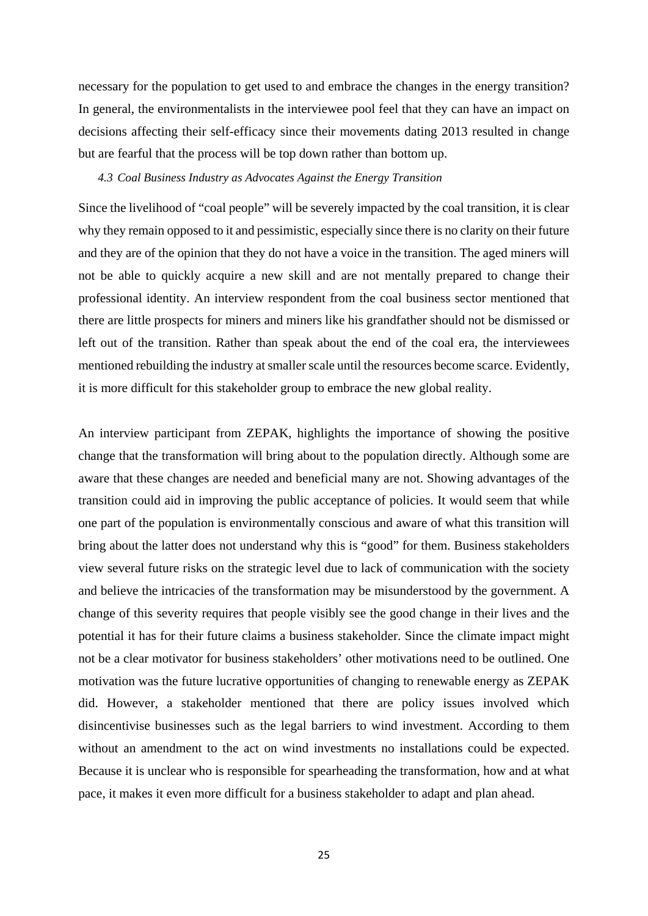necessary for the population to get used to and embrace the changes in the energy transition? In general, the environmentalists in the interviewee pool feel that they can have an impact on decisions affecting their self-efficacy since their movements dating 2013 resulted in change but are fearful that the process will be top down rather than bottom up.

#### <span id="page-24-0"></span>*4.3 Coal Business Industry as Advocates Against the Energy Transition*

Since the livelihood of "coal people" will be severely impacted by the coal transition, it is clear why they remain opposed to it and pessimistic, especially since there is no clarity on their future and they are of the opinion that they do not have a voice in the transition. The aged miners will not be able to quickly acquire a new skill and are not mentally prepared to change their professional identity. An interview respondent from the coal business sector mentioned that there are little prospects for miners and miners like his grandfather should not be dismissed or left out of the transition. Rather than speak about the end of the coal era, the interviewees mentioned rebuilding the industry at smaller scale until the resources become scarce. Evidently, it is more difficult for this stakeholder group to embrace the new global reality.

An interview participant from ZEPAK, highlights the importance of showing the positive change that the transformation will bring about to the population directly. Although some are aware that these changes are needed and beneficial many are not. Showing advantages of the transition could aid in improving the public acceptance of policies. It would seem that while one part of the population is environmentally conscious and aware of what this transition will bring about the latter does not understand why this is "good" for them. Business stakeholders view several future risks on the strategic level due to lack of communication with the society and believe the intricacies of the transformation may be misunderstood by the government. A change of this severity requires that people visibly see the good change in their lives and the potential it has for their future claims a business stakeholder. Since the climate impact might not be a clear motivator for business stakeholders' other motivations need to be outlined. One motivation was the future lucrative opportunities of changing to renewable energy as ZEPAK did. However, a stakeholder mentioned that there are policy issues involved which disincentivise businesses such as the legal barriers to wind investment. According to them without an amendment to the act on wind investments no installations could be expected. Because it is unclear who is responsible for spearheading the transformation, how and at what pace, it makes it even more difficult for a business stakeholder to adapt and plan ahead.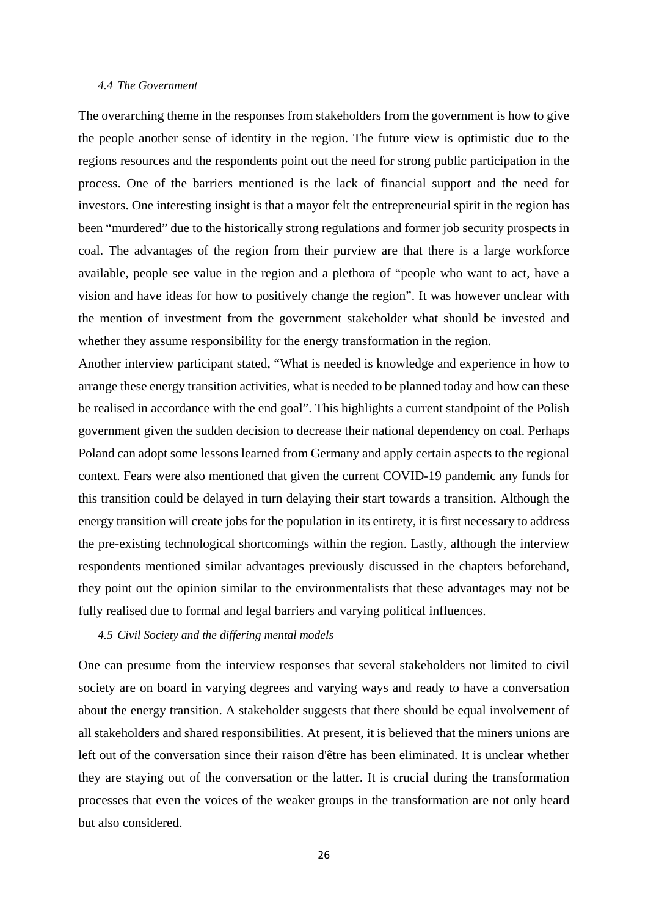#### <span id="page-25-0"></span>*4.4 The Government*

The overarching theme in the responses from stakeholders from the government is how to give the people another sense of identity in the region. The future view is optimistic due to the regions resources and the respondents point out the need for strong public participation in the process. One of the barriers mentioned is the lack of financial support and the need for investors. One interesting insight is that a mayor felt the entrepreneurial spirit in the region has been "murdered" due to the historically strong regulations and former job security prospects in coal. The advantages of the region from their purview are that there is a large workforce available, people see value in the region and a plethora of "people who want to act, have a vision and have ideas for how to positively change the region". It was however unclear with the mention of investment from the government stakeholder what should be invested and whether they assume responsibility for the energy transformation in the region.

Another interview participant stated, "What is needed is knowledge and experience in how to arrange these energy transition activities, what is needed to be planned today and how can these be realised in accordance with the end goal". This highlights a current standpoint of the Polish government given the sudden decision to decrease their national dependency on coal. Perhaps Poland can adopt some lessons learned from Germany and apply certain aspects to the regional context. Fears were also mentioned that given the current COVID-19 pandemic any funds for this transition could be delayed in turn delaying their start towards a transition. Although the energy transition will create jobs for the population in its entirety, it is first necessary to address the pre-existing technological shortcomings within the region. Lastly, although the interview respondents mentioned similar advantages previously discussed in the chapters beforehand, they point out the opinion similar to the environmentalists that these advantages may not be fully realised due to formal and legal barriers and varying political influences.

#### <span id="page-25-1"></span>*4.5 Civil Society and the differing mental models*

One can presume from the interview responses that several stakeholders not limited to civil society are on board in varying degrees and varying ways and ready to have a conversation about the energy transition. A stakeholder suggests that there should be equal involvement of all stakeholders and shared responsibilities. At present, it is believed that the miners unions are left out of the conversation since their raison d'être has been eliminated. It is unclear whether they are staying out of the conversation or the latter. It is crucial during the transformation processes that even the voices of the weaker groups in the transformation are not only heard but also considered.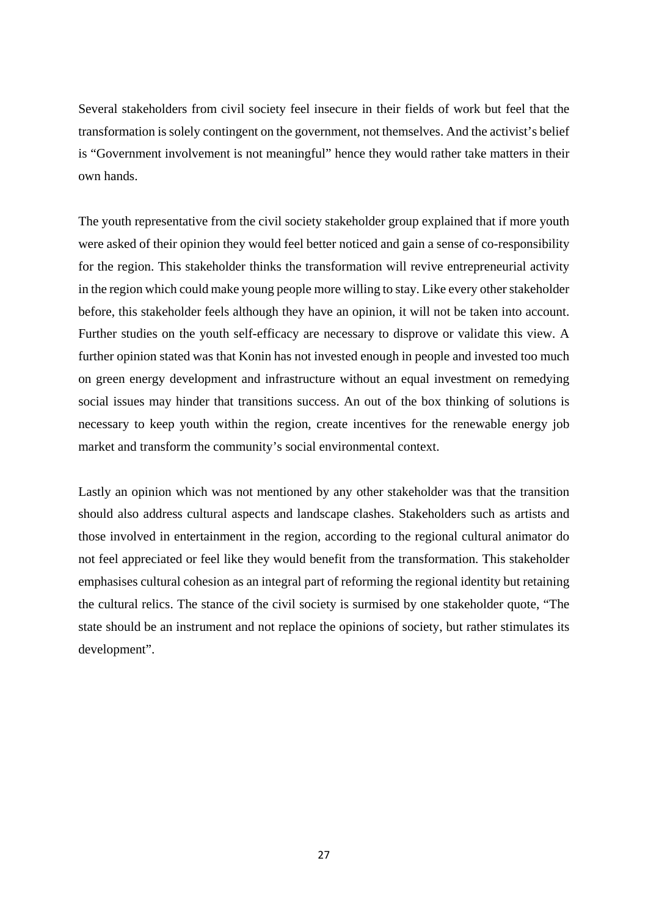Several stakeholders from civil society feel insecure in their fields of work but feel that the transformation is solely contingent on the government, not themselves. And the activist's belief is "Government involvement is not meaningful" hence they would rather take matters in their own hands.

The youth representative from the civil society stakeholder group explained that if more youth were asked of their opinion they would feel better noticed and gain a sense of co-responsibility for the region. This stakeholder thinks the transformation will revive entrepreneurial activity in the region which could make young people more willing to stay. Like every other stakeholder before, this stakeholder feels although they have an opinion, it will not be taken into account. Further studies on the youth self-efficacy are necessary to disprove or validate this view. A further opinion stated was that Konin has not invested enough in people and invested too much on green energy development and infrastructure without an equal investment on remedying social issues may hinder that transitions success. An out of the box thinking of solutions is necessary to keep youth within the region, create incentives for the renewable energy job market and transform the community's social environmental context.

Lastly an opinion which was not mentioned by any other stakeholder was that the transition should also address cultural aspects and landscape clashes. Stakeholders such as artists and those involved in entertainment in the region, according to the regional cultural animator do not feel appreciated or feel like they would benefit from the transformation. This stakeholder emphasises cultural cohesion as an integral part of reforming the regional identity but retaining the cultural relics. The stance of the civil society is surmised by one stakeholder quote, "The state should be an instrument and not replace the opinions of society, but rather stimulates its development".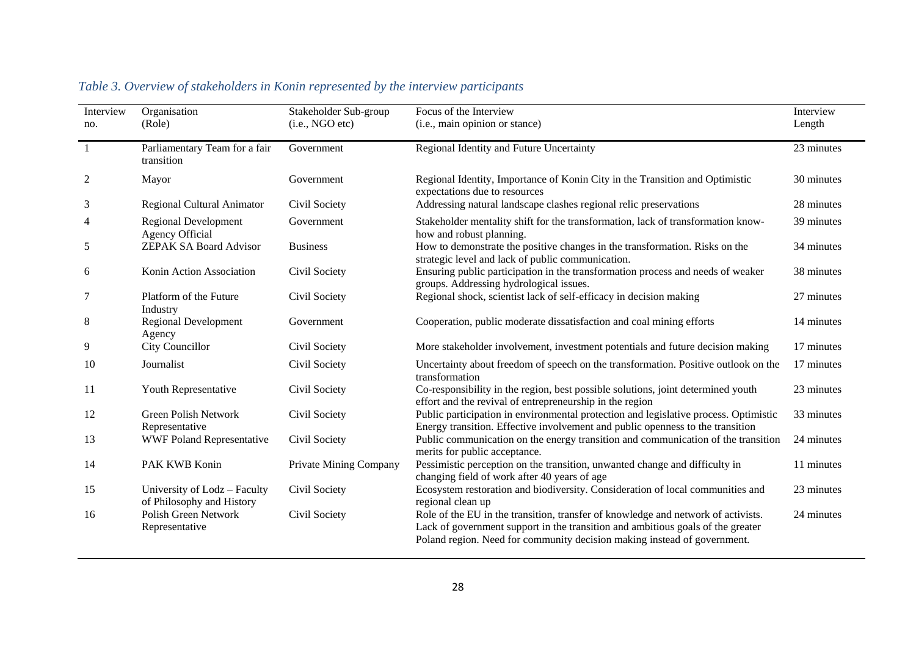| Interview<br>no. | Organisation<br>(Role)                                    | Stakeholder Sub-group<br>(i.e., NGO etc) | Focus of the Interview<br>(i.e., main opinion or stance)                                                                                                                                                                                         | Interview<br>Length |
|------------------|-----------------------------------------------------------|------------------------------------------|--------------------------------------------------------------------------------------------------------------------------------------------------------------------------------------------------------------------------------------------------|---------------------|
| 1                | Parliamentary Team for a fair<br>transition               | Government                               | Regional Identity and Future Uncertainty                                                                                                                                                                                                         | 23 minutes          |
| 2                | Mayor                                                     | Government                               | Regional Identity, Importance of Konin City in the Transition and Optimistic<br>expectations due to resources                                                                                                                                    | 30 minutes          |
| 3                | <b>Regional Cultural Animator</b>                         | Civil Society                            | Addressing natural landscape clashes regional relic preservations                                                                                                                                                                                | 28 minutes          |
| 4                | <b>Regional Development</b><br><b>Agency Official</b>     | Government                               | Stakeholder mentality shift for the transformation, lack of transformation know-<br>how and robust planning.                                                                                                                                     | 39 minutes          |
| 5                | <b>ZEPAK SA Board Advisor</b>                             | <b>Business</b>                          | How to demonstrate the positive changes in the transformation. Risks on the<br>strategic level and lack of public communication.                                                                                                                 | 34 minutes          |
| 6                | Konin Action Association                                  | Civil Society                            | Ensuring public participation in the transformation process and needs of weaker<br>groups. Addressing hydrological issues.                                                                                                                       | 38 minutes          |
| 7                | Platform of the Future<br>Industry                        | Civil Society                            | Regional shock, scientist lack of self-efficacy in decision making                                                                                                                                                                               | 27 minutes          |
| 8                | <b>Regional Development</b><br>Agency                     | Government                               | Cooperation, public moderate dissatisfaction and coal mining efforts                                                                                                                                                                             | 14 minutes          |
| 9                | <b>City Councillor</b>                                    | Civil Society                            | More stakeholder involvement, investment potentials and future decision making                                                                                                                                                                   | 17 minutes          |
| 10               | Journalist                                                | Civil Society                            | Uncertainty about freedom of speech on the transformation. Positive outlook on the<br>transformation                                                                                                                                             | 17 minutes          |
| 11               | Youth Representative                                      | Civil Society                            | Co-responsibility in the region, best possible solutions, joint determined youth<br>effort and the revival of entrepreneurship in the region                                                                                                     | 23 minutes          |
| 12               | <b>Green Polish Network</b><br>Representative             | Civil Society                            | Public participation in environmental protection and legislative process. Optimistic<br>Energy transition. Effective involvement and public openness to the transition                                                                           | 33 minutes          |
| 13               | <b>WWF Poland Representative</b>                          | Civil Society                            | Public communication on the energy transition and communication of the transition<br>merits for public acceptance.                                                                                                                               | 24 minutes          |
| 14               | PAK KWB Konin                                             | Private Mining Company                   | Pessimistic perception on the transition, unwanted change and difficulty in<br>changing field of work after 40 years of age                                                                                                                      | 11 minutes          |
| 15               | University of Lodz - Faculty<br>of Philosophy and History | Civil Society                            | Ecosystem restoration and biodiversity. Consideration of local communities and<br>regional clean up                                                                                                                                              | 23 minutes          |
| 16               | <b>Polish Green Network</b><br>Representative             | Civil Society                            | Role of the EU in the transition, transfer of knowledge and network of activists.<br>Lack of government support in the transition and ambitious goals of the greater<br>Poland region. Need for community decision making instead of government. | 24 minutes          |

## *Table 3. Overview of stakeholders in Konin represented by the interview participants*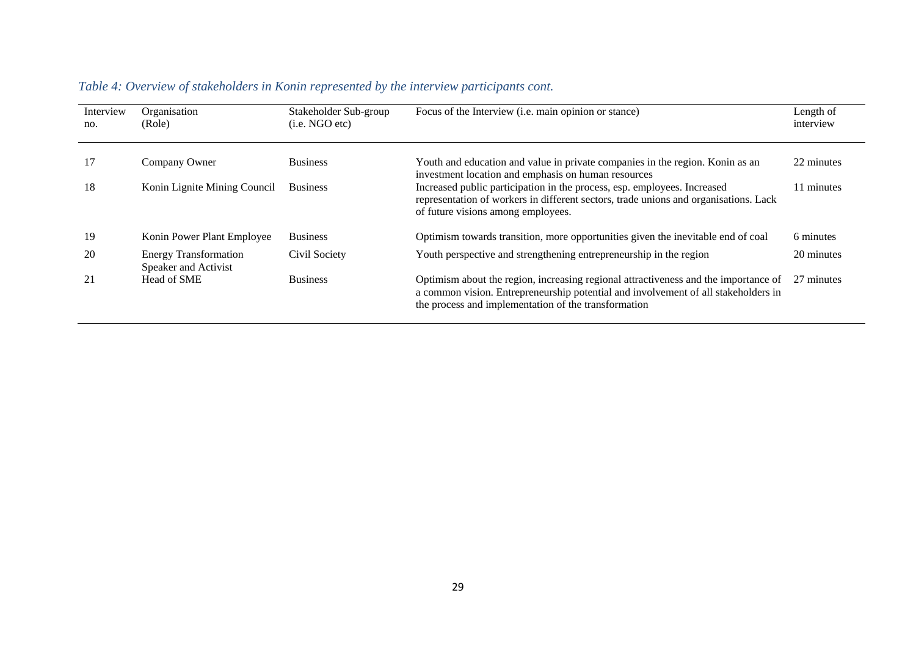| Interview<br>no. | Organisation<br>(Role)                               | Stakeholder Sub-group<br>(i.e. NGO etc) | Focus of the Interview (i.e. main opinion or stance)                                                                                                                                                                              | Length of<br>interview |
|------------------|------------------------------------------------------|-----------------------------------------|-----------------------------------------------------------------------------------------------------------------------------------------------------------------------------------------------------------------------------------|------------------------|
| 17               | Company Owner                                        | <b>Business</b>                         | Youth and education and value in private companies in the region. Konin as an<br>investment location and emphasis on human resources                                                                                              | 22 minutes             |
| 18               | Konin Lignite Mining Council                         | <b>Business</b>                         | Increased public participation in the process, esp. employees. Increased<br>representation of workers in different sectors, trade unions and organisations. Lack<br>of future visions among employees.                            | 11 minutes             |
| 19               | Konin Power Plant Employee                           | <b>Business</b>                         | Optimism towards transition, more opportunities given the inevitable end of coal                                                                                                                                                  | 6 minutes              |
| 20               | <b>Energy Transformation</b><br>Speaker and Activist | Civil Society                           | Youth perspective and strengthening entrepreneurship in the region                                                                                                                                                                | 20 minutes             |
| 21               | Head of SME                                          | <b>Business</b>                         | Optimism about the region, increasing regional attractiveness and the importance of<br>a common vision. Entrepreneurship potential and involvement of all stakeholders in<br>the process and implementation of the transformation | 27 minutes             |

## *Table 4: Overview of stakeholders in Konin represented by the interview participants cont.*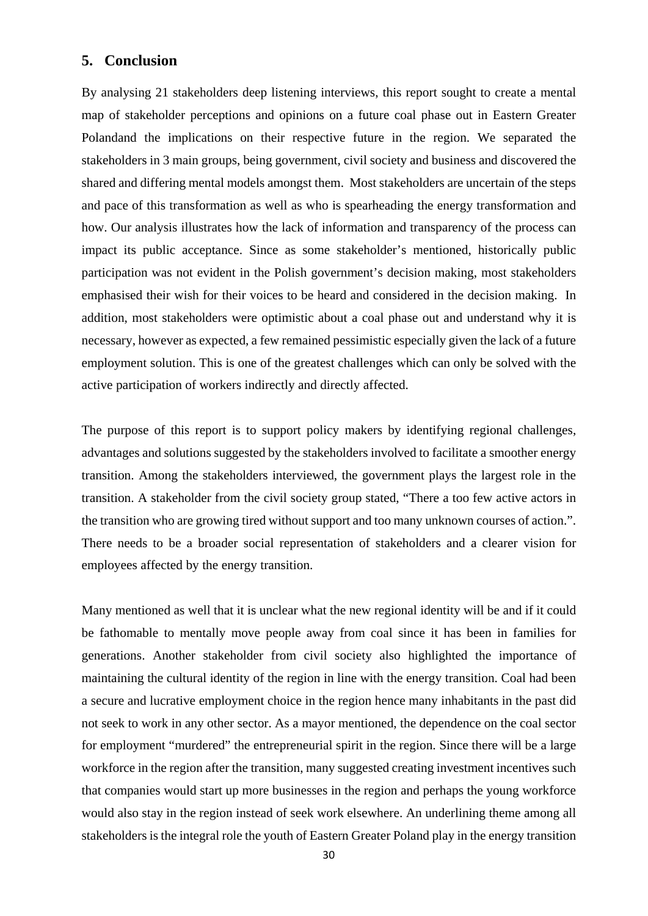## <span id="page-29-0"></span>**5. Conclusion**

By analysing 21 stakeholders deep listening interviews, this report sought to create a mental map of stakeholder perceptions and opinions on a future coal phase out in Eastern Greater Polandand the implications on their respective future in the region. We separated the stakeholders in 3 main groups, being government, civil society and business and discovered the shared and differing mental models amongst them. Most stakeholders are uncertain of the steps and pace of this transformation as well as who is spearheading the energy transformation and how. Our analysis illustrates how the lack of information and transparency of the process can impact its public acceptance. Since as some stakeholder's mentioned, historically public participation was not evident in the Polish government's decision making, most stakeholders emphasised their wish for their voices to be heard and considered in the decision making. In addition, most stakeholders were optimistic about a coal phase out and understand why it is necessary, however as expected, a few remained pessimistic especially given the lack of a future employment solution. This is one of the greatest challenges which can only be solved with the active participation of workers indirectly and directly affected.

The purpose of this report is to support policy makers by identifying regional challenges, advantages and solutions suggested by the stakeholders involved to facilitate a smoother energy transition. Among the stakeholders interviewed, the government plays the largest role in the transition. A stakeholder from the civil society group stated, "There a too few active actors in the transition who are growing tired without support and too many unknown courses of action.". There needs to be a broader social representation of stakeholders and a clearer vision for employees affected by the energy transition.

Many mentioned as well that it is unclear what the new regional identity will be and if it could be fathomable to mentally move people away from coal since it has been in families for generations. Another stakeholder from civil society also highlighted the importance of maintaining the cultural identity of the region in line with the energy transition. Coal had been a secure and lucrative employment choice in the region hence many inhabitants in the past did not seek to work in any other sector. As a mayor mentioned, the dependence on the coal sector for employment "murdered" the entrepreneurial spirit in the region. Since there will be a large workforce in the region after the transition, many suggested creating investment incentives such that companies would start up more businesses in the region and perhaps the young workforce would also stay in the region instead of seek work elsewhere. An underlining theme among all stakeholders is the integral role the youth of Eastern Greater Poland play in the energy transition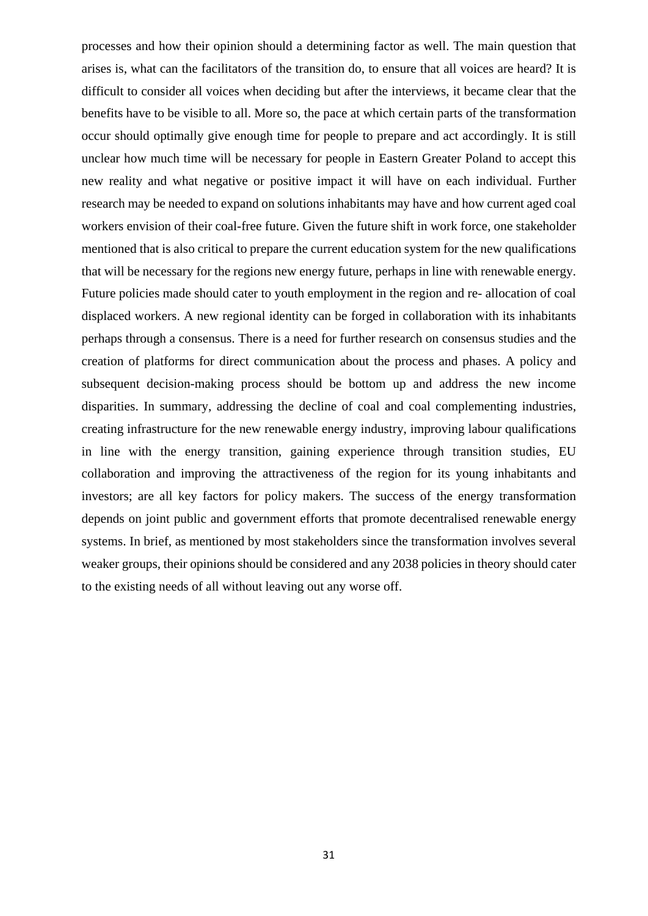processes and how their opinion should a determining factor as well. The main question that arises is, what can the facilitators of the transition do, to ensure that all voices are heard? It is difficult to consider all voices when deciding but after the interviews, it became clear that the benefits have to be visible to all. More so, the pace at which certain parts of the transformation occur should optimally give enough time for people to prepare and act accordingly. It is still unclear how much time will be necessary for people in Eastern Greater Poland to accept this new reality and what negative or positive impact it will have on each individual. Further research may be needed to expand on solutions inhabitants may have and how current aged coal workers envision of their coal-free future. Given the future shift in work force, one stakeholder mentioned that is also critical to prepare the current education system for the new qualifications that will be necessary for the regions new energy future, perhaps in line with renewable energy. Future policies made should cater to youth employment in the region and re- allocation of coal displaced workers. A new regional identity can be forged in collaboration with its inhabitants perhaps through a consensus. There is a need for further research on consensus studies and the creation of platforms for direct communication about the process and phases. A policy and subsequent decision-making process should be bottom up and address the new income disparities. In summary, addressing the decline of coal and coal complementing industries, creating infrastructure for the new renewable energy industry, improving labour qualifications in line with the energy transition, gaining experience through transition studies, EU collaboration and improving the attractiveness of the region for its young inhabitants and investors; are all key factors for policy makers. The success of the energy transformation depends on joint public and government efforts that promote decentralised renewable energy systems. In brief, as mentioned by most stakeholders since the transformation involves several weaker groups, their opinions should be considered and any 2038 policies in theory should cater to the existing needs of all without leaving out any worse off.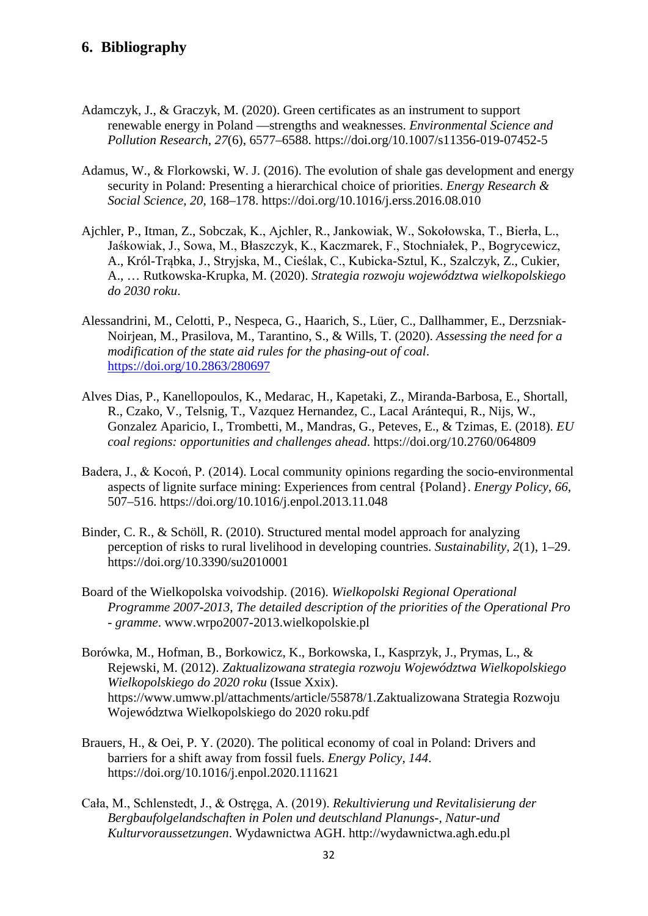## <span id="page-31-0"></span>**6. Bibliography**

- Adamczyk, J., & Graczyk, M. (2020). Green certificates as an instrument to support renewable energy in Poland —strengths and weaknesses. *Environmental Science and Pollution Research*, *27*(6), 6577–6588. https://doi.org/10.1007/s11356-019-07452-5
- Adamus, W., & Florkowski, W. J. (2016). The evolution of shale gas development and energy security in Poland: Presenting a hierarchical choice of priorities. *Energy Research & Social Science*, *20*, 168–178. https://doi.org/10.1016/j.erss.2016.08.010
- Ajchler, P., Itman, Z., Sobczak, K., Ajchler, R., Jankowiak, W., Sokołowska, T., Bierła, L., Jaśkowiak, J., Sowa, M., Błaszczyk, K., Kaczmarek, F., Stochniałek, P., Bogrycewicz, A., Król-Trąbka, J., Stryjska, M., Cieślak, C., Kubicka-Sztul, K., Szalczyk, Z., Cukier, A., … Rutkowska-Krupka, M. (2020). *Strategia rozwoju województwa wielkopolskiego do 2030 roku*.
- Alessandrini, M., Celotti, P., Nespeca, G., Haarich, S., Lüer, C., Dallhammer, E., Derzsniak-Noirjean, M., Prasilova, M., Tarantino, S., & Wills, T. (2020). *Assessing the need for a modification of the state aid rules for the phasing-out of coal*. <https://doi.org/10.2863/280697>
- Alves Dias, P., Kanellopoulos, K., Medarac, H., Kapetaki, Z., Miranda-Barbosa, E., Shortall, R., Czako, V., Telsnig, T., Vazquez Hernandez, C., Lacal Arántequi, R., Nijs, W., Gonzalez Aparicio, I., Trombetti, M., Mandras, G., Peteves, E., & Tzimas, E. (2018). *EU coal regions: opportunities and challenges ahead*. https://doi.org/10.2760/064809
- Badera, J., & Kocoń, P. (2014). Local community opinions regarding the socio-environmental aspects of lignite surface mining: Experiences from central {Poland}. *Energy Policy*, *66*, 507–516. https://doi.org/10.1016/j.enpol.2013.11.048
- Binder, C. R., & Schöll, R. (2010). Structured mental model approach for analyzing perception of risks to rural livelihood in developing countries. *Sustainability*, *2*(1), 1–29. https://doi.org/10.3390/su2010001
- Board of the Wielkopolska voivodship. (2016). *Wielkopolski Regional Operational Programme 2007-2013, The detailed description of the priorities of the Operational Pro - gramme*. www.wrpo2007-2013.wielkopolskie.pl
- Borówka, M., Hofman, B., Borkowicz, K., Borkowska, I., Kasprzyk, J., Prymas, L., & Rejewski, M. (2012). *Zaktualizowana strategia rozwoju Województwa Wielkopolskiego Wielkopolskiego do 2020 roku* (Issue Xxix). https://www.umww.pl/attachments/article/55878/1.Zaktualizowana Strategia Rozwoju Województwa Wielkopolskiego do 2020 roku.pdf
- Brauers, H., & Oei, P. Y. (2020). The political economy of coal in Poland: Drivers and barriers for a shift away from fossil fuels. *Energy Policy*, *144*. https://doi.org/10.1016/j.enpol.2020.111621
- Cała, M., Schlenstedt, J., & Ostręga, A. (2019). *Rekultivierung und Revitalisierung der Bergbaufolgelandschaften in Polen und deutschland Planungs-, Natur-und Kulturvoraussetzungen*. Wydawnictwa AGH. http://wydawnictwa.agh.edu.pl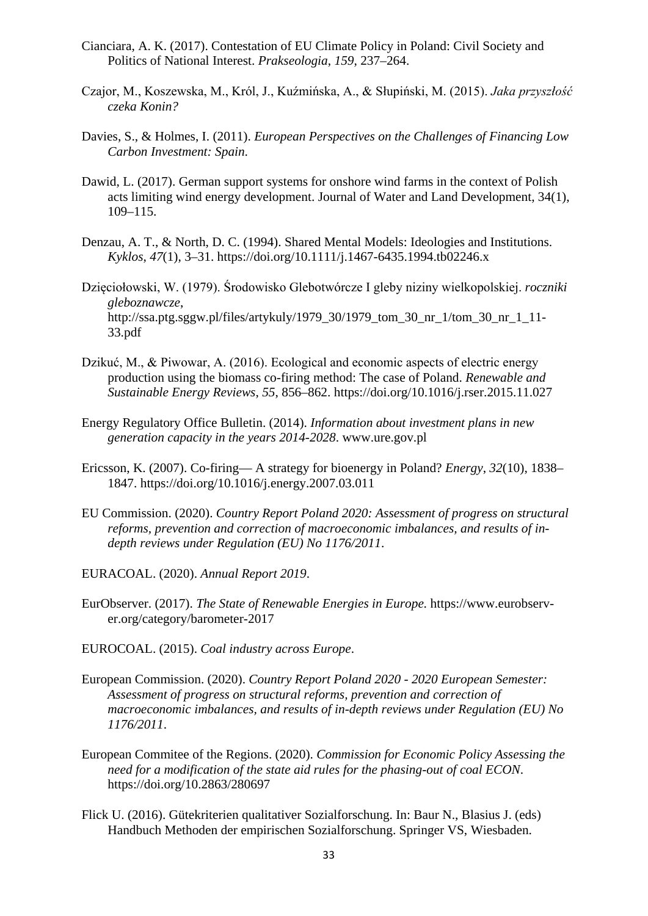- Cianciara, A. K. (2017). Contestation of EU Climate Policy in Poland: Civil Society and Politics of National Interest. *Prakseologia*, *159*, 237–264.
- Czajor, M., Koszewska, M., Król, J., Kuźmińska, A., & Słupiński, M. (2015). *Jaka przyszłość czeka Konin?*
- Davies, S., & Holmes, I. (2011). *European Perspectives on the Challenges of Financing Low Carbon Investment: Spain*.
- Dawid, L. (2017). German support systems for onshore wind farms in the context of Polish acts limiting wind energy development. Journal of Water and Land Development, 34(1), 109–115.
- Denzau, A. T., & North, D. C. (1994). Shared Mental Models: Ideologies and Institutions. *Kyklos*, *47*(1), 3–31. https://doi.org/10.1111/j.1467-6435.1994.tb02246.x
- Dzięciołowski, W. (1979). Środowisko Glebotwórcze I gleby niziny wielkopolskiej. *roczniki gleboznawcze*, http://ssa.ptg.sggw.pl/files/artykuly/1979\_30/1979\_tom\_30\_nr\_1/tom\_30\_nr\_1\_11- 33.pdf
- Dzikuć, M., & Piwowar, A. (2016). Ecological and economic aspects of electric energy production using the biomass co-firing method: The case of Poland. *Renewable and Sustainable Energy Reviews*, *55*, 856–862. https://doi.org/10.1016/j.rser.2015.11.027
- Energy Regulatory Office Bulletin. (2014). *Information about investment plans in new generation capacity in the years 2014-2028*. www.ure.gov.pl
- Ericsson, K. (2007). Co-firing— A strategy for bioenergy in Poland? *Energy*, *32*(10), 1838– 1847. https://doi.org/10.1016/j.energy.2007.03.011
- EU Commission. (2020). *Country Report Poland 2020: Assessment of progress on structural reforms, prevention and correction of macroeconomic imbalances, and results of indepth reviews under Regulation (EU) No 1176/2011*.
- EURACOAL. (2020). *Annual Report 2019*.
- EurObserver. (2017). *The State of Renewable Energies in Europe.* https://www.eurobserver.org/category/barometer-2017
- EUROCOAL. (2015). *Coal industry across Europe*.
- European Commission. (2020). *Country Report Poland 2020 - 2020 European Semester: Assessment of progress on structural reforms, prevention and correction of macroeconomic imbalances, and results of in-depth reviews under Regulation (EU) No 1176/2011*.
- European Commitee of the Regions. (2020). *Commission for Economic Policy Assessing the need for a modification of the state aid rules for the phasing-out of coal ECON*. https://doi.org/10.2863/280697
- Flick U. (2016). Gütekriterien qualitativer Sozialforschung. In: Baur N., Blasius J. (eds) Handbuch Methoden der empirischen Sozialforschung. Springer VS, Wiesbaden.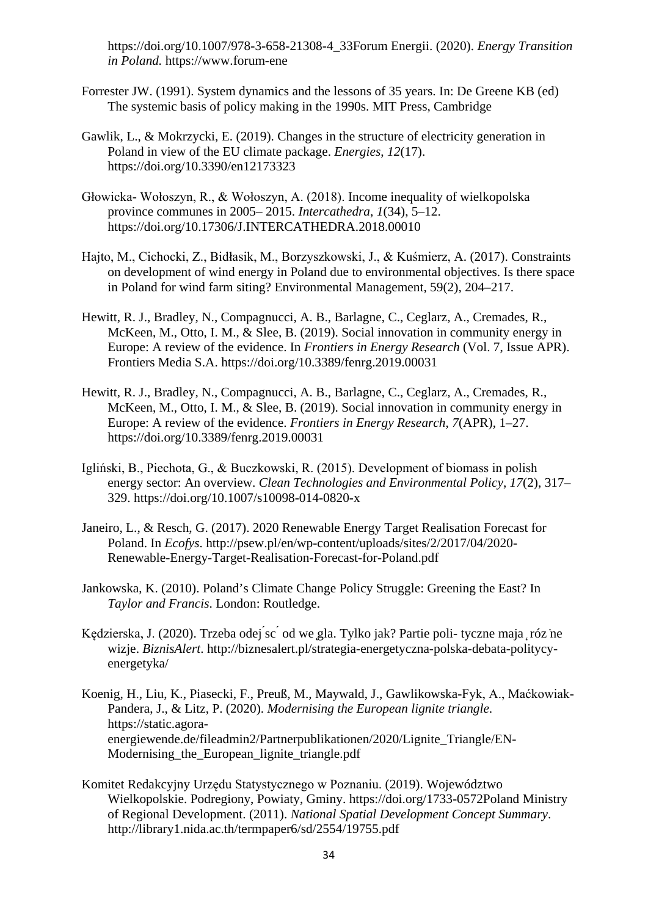https://doi.org/10.1007/978-3-658-21308-4\_33Forum Energii. (2020). *Energy Transition in Poland.* https://www.forum-ene

- Forrester JW. (1991). System dynamics and the lessons of 35 years. In: De Greene KB (ed) The systemic basis of policy making in the 1990s. MIT Press, Cambridge
- Gawlik, L., & Mokrzycki, E. (2019). Changes in the structure of electricity generation in Poland in view of the EU climate package. *Energies*, *12*(17). https://doi.org/10.3390/en12173323
- Głowicka- Wołoszyn, R., & Wołoszyn, A. (2018). Income inequality of wielkopolska province communes in 2005– 2015. *Intercathedra*, *1*(34), 5–12. https://doi.org/10.17306/J.INTERCATHEDRA.2018.00010
- Hajto, M., Cichocki, Z., Bidłasik, M., Borzyszkowski, J., & Kuśmierz, A. (2017). Constraints on development of wind energy in Poland due to environmental objectives. Is there space in Poland for wind farm siting? Environmental Management, 59(2), 204–217.
- Hewitt, R. J., Bradley, N., Compagnucci, A. B., Barlagne, C., Ceglarz, A., Cremades, R., McKeen, M., Otto, I. M., & Slee, B. (2019). Social innovation in community energy in Europe: A review of the evidence. In *Frontiers in Energy Research* (Vol. 7, Issue APR). Frontiers Media S.A. https://doi.org/10.3389/fenrg.2019.00031
- Hewitt, R. J., Bradley, N., Compagnucci, A. B., Barlagne, C., Ceglarz, A., Cremades, R., McKeen, M., Otto, I. M., & Slee, B. (2019). Social innovation in community energy in Europe: A review of the evidence. *Frontiers in Energy Research*, *7*(APR), 1–27. https://doi.org/10.3389/fenrg.2019.00031
- Igliński, B., Piechota, G., & Buczkowski, R. (2015). Development of biomass in polish energy sector: An overview. *Clean Technologies and Environmental Policy*, *17*(2), 317– 329. https://doi.org/10.1007/s10098-014-0820-x
- Janeiro, L., & Resch, G. (2017). 2020 Renewable Energy Target Realisation Forecast for Poland. In *Ecofys*. http://psew.pl/en/wp-content/uploads/sites/2/2017/04/2020- Renewable-Energy-Target-Realisation-Forecast-for-Poland.pdf
- Jankowska, K. (2010). Poland's Climate Change Policy Struggle: Greening the East? In *Taylor and Francis*. London: Routledge.
- Kędzierska, J. (2020). Trzeba odej sc<sup>'</sup> od we gla. Tylko jak? Partie poli- tyczne maja róz ne wizje. *BiznisAlert*. http://biznesalert.pl/strategia-energetyczna-polska-debata-politycyenergetyka/
- Koenig, H., Liu, K., Piasecki, F., Preuß, M., Maywald, J., Gawlikowska-Fyk, A., Maćkowiak-Pandera, J., & Litz, P. (2020). *Modernising the European lignite triangle*. https://static.agoraenergiewende.de/fileadmin2/Partnerpublikationen/2020/Lignite\_Triangle/EN-Modernising the European lignite triangle.pdf
- Komitet Redakcyjny Urzędu Statystycznego w Poznaniu. (2019). Województwo Wielkopolskie. Podregiony, Powiaty, Gminy. https://doi.org/1733-0572Poland Ministry of Regional Development. (2011). *National Spatial Development Concept Summary*. http://library1.nida.ac.th/termpaper6/sd/2554/19755.pdf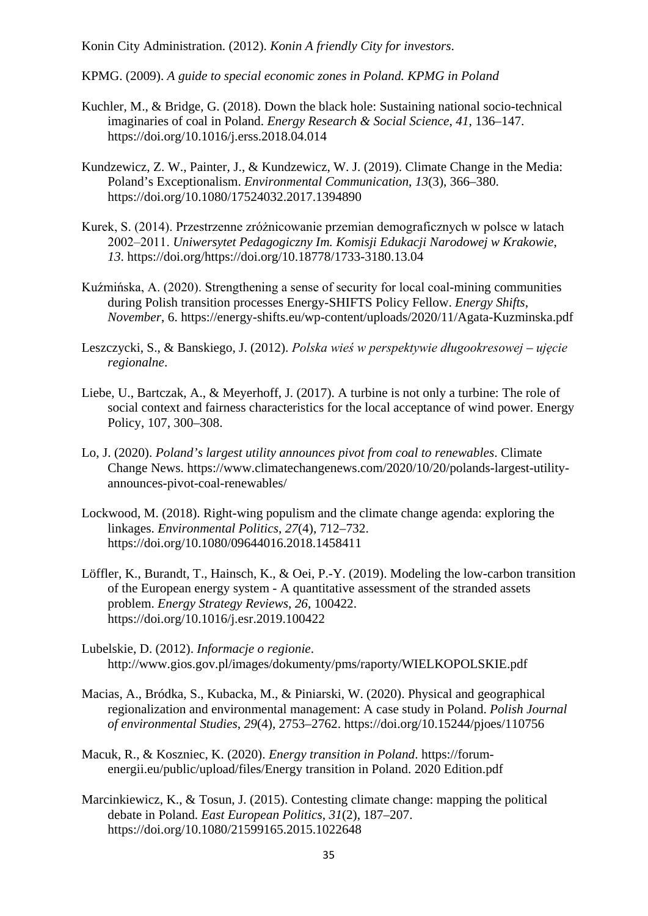Konin City Administration. (2012). *Konin A friendly City for investors*.

KPMG. (2009). *A guide to special economic zones in Poland. KPMG in Poland*

- Kuchler, M., & Bridge, G. (2018). Down the black hole: Sustaining national socio-technical imaginaries of coal in Poland. *Energy Research & Social Science*, *41*, 136–147. https://doi.org/10.1016/j.erss.2018.04.014
- Kundzewicz, Z. W., Painter, J., & Kundzewicz, W. J. (2019). Climate Change in the Media: Poland's Exceptionalism. *Environmental Communication*, *13*(3), 366–380. https://doi.org/10.1080/17524032.2017.1394890
- Kurek, S. (2014). Przestrzenne zróżnicowanie przemian demograficznych w polsce w latach 2002‒2011. *Uniwersytet Pedagogiczny Im. Komisji Edukacji Narodowej w Krakowie*, *13*. https://doi.org/https://doi.org/10.18778/1733-3180.13.04
- Kuźmińska, A. (2020). Strengthening a sense of security for local coal-mining communities during Polish transition processes Energy-SHIFTS Policy Fellow. *Energy Shifts*, *November*, 6. https://energy-shifts.eu/wp-content/uploads/2020/11/Agata-Kuzminska.pdf
- Leszczycki, S., & Banskiego, J. (2012). *Polska wieś w perspektywie długookresowej ujęcie regionalne*.
- Liebe, U., Bartczak, A., & Meyerhoff, J. (2017). A turbine is not only a turbine: The role of social context and fairness characteristics for the local acceptance of wind power. Energy Policy, 107, 300–308.
- Lo, J. (2020). *Poland's largest utility announces pivot from coal to renewables*. Climate Change News. https://www.climatechangenews.com/2020/10/20/polands-largest-utilityannounces-pivot-coal-renewables/
- Lockwood, M. (2018). Right-wing populism and the climate change agenda: exploring the linkages. *Environmental Politics*, *27*(4), 712–732. https://doi.org/10.1080/09644016.2018.1458411
- Löffler, K., Burandt, T., Hainsch, K., & Oei, P.-Y. (2019). Modeling the low-carbon transition of the European energy system - A quantitative assessment of the stranded assets problem. *Energy Strategy Reviews*, *26*, 100422. https://doi.org/10.1016/j.esr.2019.100422
- Lubelskie, D. (2012). *Informacje o regionie*. http://www.gios.gov.pl/images/dokumenty/pms/raporty/WIELKOPOLSKIE.pdf
- Macias, A., Bródka, S., Kubacka, M., & Piniarski, W. (2020). Physical and geographical regionalization and environmental management: A case study in Poland. *Polish Journal of environmental Studies*, *29*(4), 2753–2762. https://doi.org/10.15244/pjoes/110756
- Macuk, R., & Koszniec, K. (2020). *Energy transition in Poland*. https://forumenergii.eu/public/upload/files/Energy transition in Poland. 2020 Edition.pdf
- Marcinkiewicz, K., & Tosun, J. (2015). Contesting climate change: mapping the political debate in Poland. *East European Politics*, *31*(2), 187–207. https://doi.org/10.1080/21599165.2015.1022648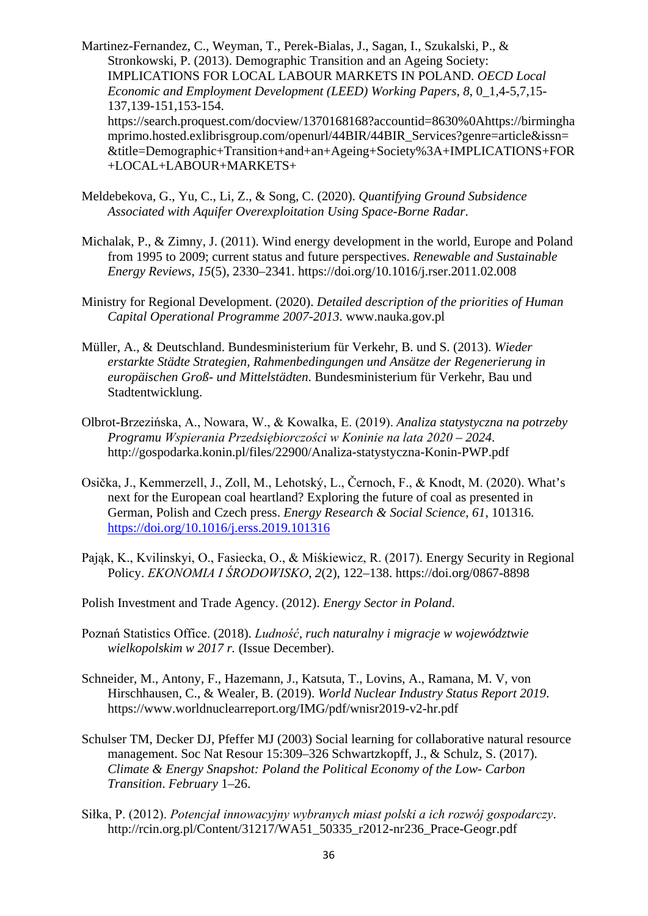Martinez-Fernandez, C., Weyman, T., Perek-Bialas, J., Sagan, I., Szukalski, P., & Stronkowski, P. (2013). Demographic Transition and an Ageing Society: IMPLICATIONS FOR LOCAL LABOUR MARKETS IN POLAND. *OECD Local Economic and Employment Development (LEED) Working Papers*, *8*, 0\_1,4-5,7,15- 137,139-151,153-154. https://search.proquest.com/docview/1370168168?accountid=8630%0Ahttps://birmingha mprimo.hosted.exlibrisgroup.com/openurl/44BIR/44BIR\_Services?genre=article&issn= &title=Demographic+Transition+and+an+Ageing+Society%3A+IMPLICATIONS+FOR +LOCAL+LABOUR+MARKETS+

- Meldebekova, G., Yu, C., Li, Z., & Song, C. (2020). *Quantifying Ground Subsidence Associated with Aquifer Overexploitation Using Space-Borne Radar*.
- Michalak, P., & Zimny, J. (2011). Wind energy development in the world, Europe and Poland from 1995 to 2009; current status and future perspectives. *Renewable and Sustainable Energy Reviews*, *15*(5), 2330–2341. https://doi.org/10.1016/j.rser.2011.02.008
- Ministry for Regional Development. (2020). *Detailed description of the priorities of Human Capital Operational Programme 2007-2013*. www.nauka.gov.pl
- Müller, A., & Deutschland. Bundesministerium für Verkehr, B. und S. (2013). *Wieder erstarkte Städte Strategien, Rahmenbedingungen und Ansätze der Regenerierung in europäischen Groß- und Mittelstädten*. Bundesministerium für Verkehr, Bau und Stadtentwicklung.
- Olbrot-Brzezińska, A., Nowara, W., & Kowalka, E. (2019). *Analiza statystyczna na potrzeby Programu Wspierania Przedsiębiorczości w Koninie na lata 2020 – 2024*. http://gospodarka.konin.pl/files/22900/Analiza-statystyczna-Konin-PWP.pdf
- Osička, J., Kemmerzell, J., Zoll, M., Lehotský, L., Černoch, F., & Knodt, M. (2020). What's next for the European coal heartland? Exploring the future of coal as presented in German, Polish and Czech press. *Energy Research & Social Science*, *61*, 101316. <https://doi.org/10.1016/j.erss.2019.101316>
- Pająk, K., Kvilinskyi, O., Fasiecka, O., & Miśkiewicz, R. (2017). Energy Security in Regional Policy. *EKONOMIA I ŚRODOWISKO*, *2*(2), 122–138. https://doi.org/0867-8898
- Polish Investment and Trade Agency. (2012). *Energy Sector in Poland*.
- Poznań Statistics Office. (2018). *Ludność, ruch naturalny i migracje w województwie wielkopolskim w 2017 r.* (Issue December).
- Schneider, M., Antony, F., Hazemann, J., Katsuta, T., Lovins, A., Ramana, M. V, von Hirschhausen, C., & Wealer, B. (2019). *World Nuclear Industry Status Report 2019*. https://www.worldnuclearreport.org/IMG/pdf/wnisr2019-v2-hr.pdf
- Schulser TM, Decker DJ, Pfeffer MJ (2003) Social learning for collaborative natural resource management. Soc Nat Resour 15:309–326 Schwartzkopff, J., & Schulz, S. (2017). *Climate & Energy Snapshot: Poland the Political Economy of the Low- Carbon Transition*. *February* 1–26.
- Siłka, P. (2012). *Potencjał innowacyjny wybranych miast polski a ich rozwój gospodarczy*. http://rcin.org.pl/Content/31217/WA51\_50335\_r2012-nr236\_Prace-Geogr.pdf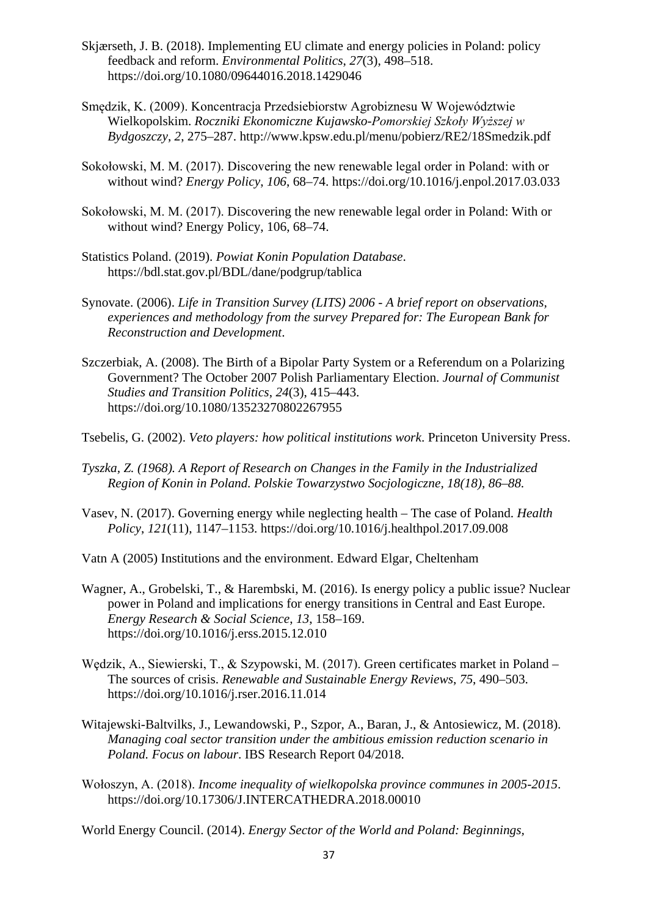- Skjærseth, J. B. (2018). Implementing EU climate and energy policies in Poland: policy feedback and reform. *Environmental Politics*, *27*(3), 498–518. https://doi.org/10.1080/09644016.2018.1429046
- Smędzik, K. (2009). Koncentracja Przedsiebiorstw Agrobiznesu W Województwie Wielkopolskim. *Roczniki Ekonomiczne Kujawsko-Pomorskiej Szkoły Wyższej w Bydgoszczy*, *2*, 275–287. http://www.kpsw.edu.pl/menu/pobierz/RE2/18Smedzik.pdf
- Sokołowski, M. M. (2017). Discovering the new renewable legal order in Poland: with or without wind? *Energy Policy*, *106*, 68–74. https://doi.org/10.1016/j.enpol.2017.03.033
- Sokołowski, M. M. (2017). Discovering the new renewable legal order in Poland: With or without wind? Energy Policy, 106, 68–74.
- Statistics Poland. (2019). *Powiat Konin Population Database*. https://bdl.stat.gov.pl/BDL/dane/podgrup/tablica
- Synovate. (2006). *Life in Transition Survey (LITS) 2006 - A brief report on observations, experiences and methodology from the survey Prepared for: The European Bank for Reconstruction and Development*.
- Szczerbiak, A. (2008). The Birth of a Bipolar Party System or a Referendum on a Polarizing Government? The October 2007 Polish Parliamentary Election. *Journal of Communist Studies and Transition Politics*, *24*(3), 415–443. https://doi.org/10.1080/13523270802267955

Tsebelis, G. (2002). *Veto players: how political institutions work*. Princeton University Press.

- *Tyszka, Z. (1968). A Report of Research on Changes in the Family in the Industrialized Region of Konin in Poland. Polskie Towarzystwo Socjologiczne, 18(18), 86–88.*
- Vasev, N. (2017). Governing energy while neglecting health The case of Poland. *Health Policy*, *121*(11), 1147–1153. https://doi.org/10.1016/j.healthpol.2017.09.008

Vatn A (2005) Institutions and the environment. Edward Elgar, Cheltenham

- Wagner, A., Grobelski, T., & Harembski, M. (2016). Is energy policy a public issue? Nuclear power in Poland and implications for energy transitions in Central and East Europe. *Energy Research & Social Science*, *13*, 158–169. https://doi.org/10.1016/j.erss.2015.12.010
- Wędzik, A., Siewierski, T., & Szypowski, M. (2017). Green certificates market in Poland The sources of crisis. *Renewable and Sustainable Energy Reviews*, *75*, 490–503. https://doi.org/10.1016/j.rser.2016.11.014
- Witajewski-Baltvilks, J., Lewandowski, P., Szpor, A., Baran, J., & Antosiewicz, M. (2018). *Managing coal sector transition under the ambitious emission reduction scenario in Poland. Focus on labour*. IBS Research Report 04/2018.
- Wołoszyn, A. (2018). *Income inequality of wielkopolska province communes in 2005-2015*. https://doi.org/10.17306/J.INTERCATHEDRA.2018.00010

World Energy Council. (2014). *Energy Sector of the World and Poland: Beginnings,*